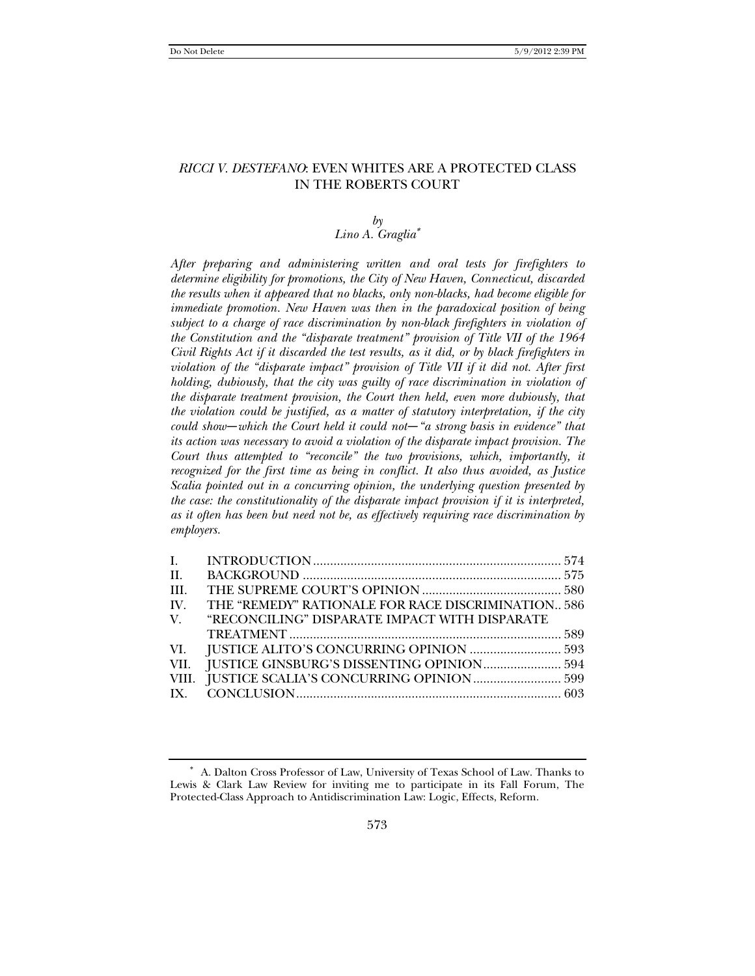# *RICCI V. DESTEFANO*: EVEN WHITES ARE A PROTECTED CLASS IN THE ROBERTS COURT

# $b\nu$

# *Lino A. Graglia*<sup>∗</sup>

*After preparing and administering written and oral tests for firefighters to determine eligibility for promotions, the City of New Haven, Connecticut, discarded the results when it appeared that no blacks, only non-blacks, had become eligible for immediate promotion. New Haven was then in the paradoxical position of being subject to a charge of race discrimination by non-black firefighters in violation of the Constitution and the "disparate treatment" provision of Title VII of the 1964 Civil Rights Act if it discarded the test results, as it did, or by black firefighters in violation of the "disparate impact" provision of Title VII if it did not. After first holding, dubiously, that the city was guilty of race discrimination in violation of the disparate treatment provision, the Court then held, even more dubiously, that the violation could be justified, as a matter of statutory interpretation, if the city could show—which the Court held it could not—"a strong basis in evidence" that its action was necessary to avoid a violation of the disparate impact provision. The Court thus attempted to "reconcile" the two provisions, which, importantly, it recognized for the first time as being in conflict. It also thus avoided, as Justice Scalia pointed out in a concurring opinion, the underlying question presented by the case: the constitutionality of the disparate impact provision if it is interpreted, as it often has been but need not be, as effectively requiring race discrimination by employers.* 

| II.  |                                                    |  |
|------|----------------------------------------------------|--|
| III. |                                                    |  |
| IV.  | THE "REMEDY" RATIONALE FOR RACE DISCRIMINATION 586 |  |
|      | V. "RECONCILING" DISPARATE IMPACT WITH DISPARATE   |  |
|      |                                                    |  |
|      |                                                    |  |
|      |                                                    |  |
|      | VIII. JUSTICE SCALIA'S CONCURRING OPINION  599     |  |
|      |                                                    |  |
|      |                                                    |  |

<sup>∗</sup> A. Dalton Cross Professor of Law, University of Texas School of Law. Thanks to Lewis & Clark Law Review for inviting me to participate in its Fall Forum, The Protected-Class Approach to Antidiscrimination Law: Logic, Effects, Reform.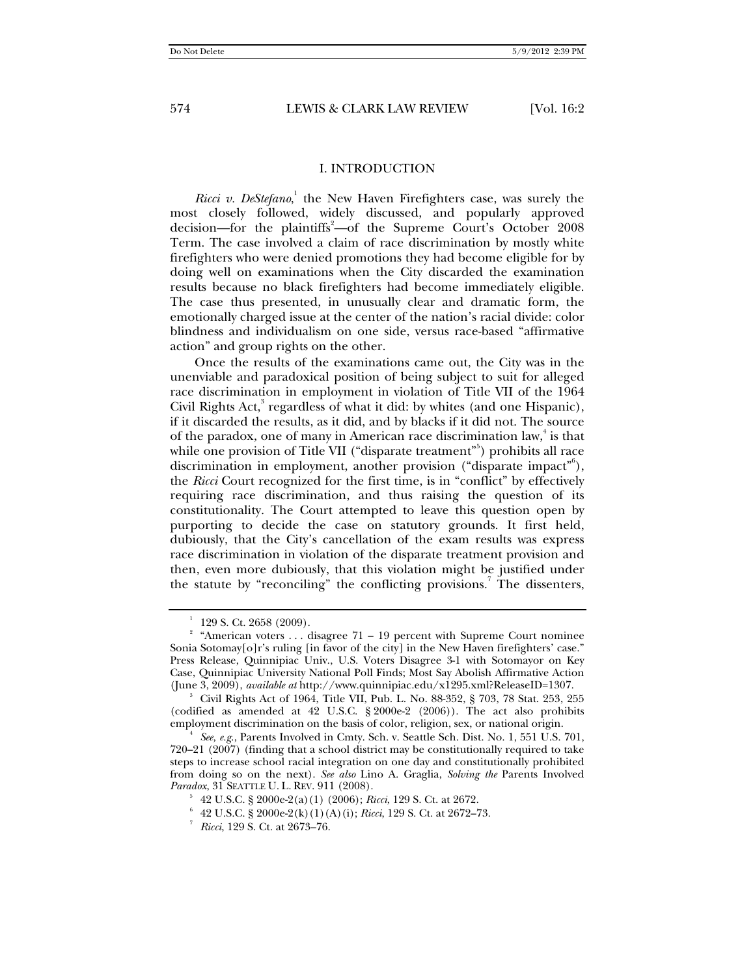#### I. INTRODUCTION

Ricci v. DeStefano,<sup>1</sup> the New Haven Firefighters case, was surely the most closely followed, widely discussed, and popularly approved decision—for the plaintiffs<sup>2</sup>—of the Supreme Court's October 2008 Term. The case involved a claim of race discrimination by mostly white firefighters who were denied promotions they had become eligible for by doing well on examinations when the City discarded the examination results because no black firefighters had become immediately eligible. The case thus presented, in unusually clear and dramatic form, the emotionally charged issue at the center of the nation's racial divide: color blindness and individualism on one side, versus race-based "affirmative action" and group rights on the other.

Once the results of the examinations came out, the City was in the unenviable and paradoxical position of being subject to suit for alleged race discrimination in employment in violation of Title VII of the 1964 Civil Rights Act, $3$  regardless of what it did: by whites (and one Hispanic), if it discarded the results, as it did, and by blacks if it did not. The source of the paradox, one of many in American race discrimination law,<sup>4</sup> is that while one provision of Title VII ("disparate treatment"<sup>5</sup>) prohibits all race discrimination in employment, another provision ("disparate impact"), the *Ricci* Court recognized for the first time, is in "conflict" by effectively requiring race discrimination, and thus raising the question of its constitutionality. The Court attempted to leave this question open by purporting to decide the case on statutory grounds. It first held, dubiously, that the City's cancellation of the exam results was express race discrimination in violation of the disparate treatment provision and then, even more dubiously, that this violation might be justified under the statute by "reconciling" the conflicting provisions.<sup>7</sup> The dissenters,

<sup>&</sup>lt;sup>1</sup> 129 S. Ct. 2658 (2009).<br><sup>2</sup> "American voters . . . disagree 71 – 19 percent with Supreme Court nominee Sonia Sotomay[o]r's ruling [in favor of the city] in the New Haven firefighters' case." Press Release, Quinnipiac Univ., U.S. Voters Disagree 3-1 with Sotomayor on Key Case, Quinnipiac University National Poll Finds; Most Say Abolish Affirmative Action (June 3, 2009), *available at* http://www.quinnipiac.edu/x1295.xml?ReleaseID=1307. 3

Civil Rights Act of 1964, Title VII, Pub. L. No. 88-352, § 703, 78 Stat. 253, 255 (codified as amended at 42 U.S.C. § 2000e-2 (2006)). The act also prohibits employment discrimination on the basis of color, religion, sex, or national origin. 4

*See, e.g*., Parents Involved in Cmty. Sch. v. Seattle Sch. Dist. No. 1, 551 U.S. 701, 720–21 (2007) (finding that a school district may be constitutionally required to take steps to increase school racial integration on one day and constitutionally prohibited from doing so on the next). *See also* Lino A. Graglia, *Solving the* Parents Involved *Paradox*, 31 SEATTLE U. L. REV. 911 (2008).

<sup>42</sup> U.S.C. § 2000e-2(a)(1) (2006); *Ricci*, 129 S. Ct. at 2672. 6

 $6\text{ }$  42 U.S.C.  $\frac{8}{3}$  2000e-2(k)(1)(A)(i); *Ricci*, 129 S. Ct. at 2672–73.

*Ricci*, 129 S. Ct. at 2673–76.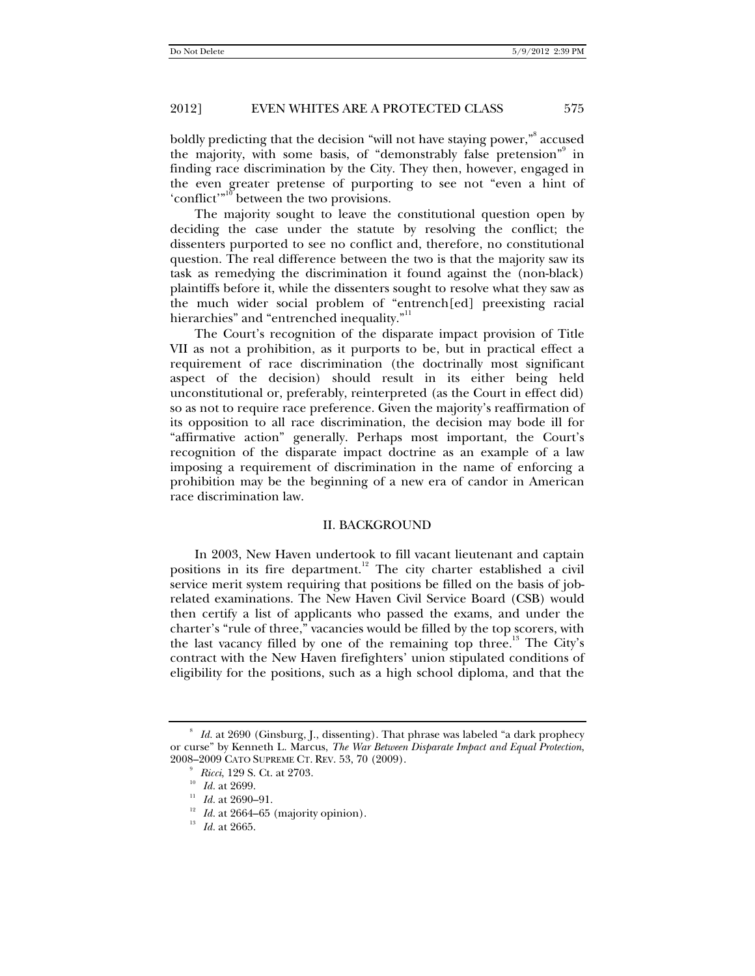boldly predicting that the decision "will not have staying power," accused the majority, with some basis, of "demonstrably false pretension"<sup>9</sup> in finding race discrimination by the City. They then, however, engaged in the even greater pretense of purporting to see not "even a hint of 'conflict'<sup>"10</sup> between the two provisions.

The majority sought to leave the constitutional question open by deciding the case under the statute by resolving the conflict; the dissenters purported to see no conflict and, therefore, no constitutional question. The real difference between the two is that the majority saw its task as remedying the discrimination it found against the (non-black) plaintiffs before it, while the dissenters sought to resolve what they saw as the much wider social problem of "entrench[ed] preexisting racial hierarchies" and "entrenched inequality."<sup>11</sup>

The Court's recognition of the disparate impact provision of Title VII as not a prohibition, as it purports to be, but in practical effect a requirement of race discrimination (the doctrinally most significant aspect of the decision) should result in its either being held unconstitutional or, preferably, reinterpreted (as the Court in effect did) so as not to require race preference. Given the majority's reaffirmation of its opposition to all race discrimination, the decision may bode ill for "affirmative action" generally. Perhaps most important, the Court's recognition of the disparate impact doctrine as an example of a law imposing a requirement of discrimination in the name of enforcing a prohibition may be the beginning of a new era of candor in American race discrimination law.

#### II. BACKGROUND

In 2003, New Haven undertook to fill vacant lieutenant and captain positions in its fire department.<sup>12</sup> The city charter established a civil service merit system requiring that positions be filled on the basis of jobrelated examinations. The New Haven Civil Service Board (CSB) would then certify a list of applicants who passed the exams, and under the charter's "rule of three," vacancies would be filled by the top scorers, with the last vacancy filled by one of the remaining top three.<sup>13</sup> The City's contract with the New Haven firefighters' union stipulated conditions of eligibility for the positions, such as a high school diploma, and that the

<sup>8</sup> *Id.* at 2690 (Ginsburg, J., dissenting). That phrase was labeled "a dark prophecy or curse" by Kenneth L. Marcus, *The War Between Disparate Impact and Equal Protection*,  $2008\text{--}2009$  Cato Supreme Ct. Rev. 53, 70 (2009).  $^9$   $\;Ricci,$  129 S. Ct. at 2703.

<sup>&</sup>lt;sup>10</sup> *Id.* at 2699.<br><sup>12</sup> *Id.* at 2690–91.<br><sup>12</sup> *Id.* at 2664–65 (majority opinion).<br><sup>13</sup> *Id.* at 2665.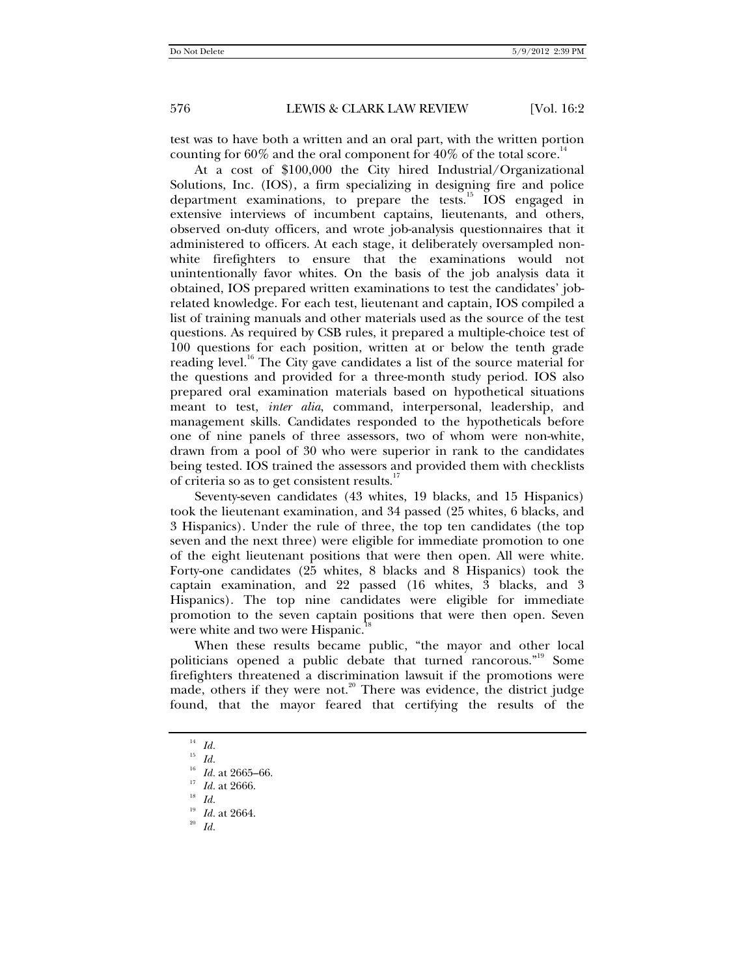test was to have both a written and an oral part, with the written portion counting for  $60\%$  and the oral component for  $40\%$  of the total score.<sup>14</sup>

At a cost of \$100,000 the City hired Industrial/Organizational Solutions, Inc. (IOS), a firm specializing in designing fire and police department examinations, to prepare the tests.<sup>15</sup> IOS engaged in extensive interviews of incumbent captains, lieutenants, and others, observed on-duty officers, and wrote job-analysis questionnaires that it administered to officers. At each stage, it deliberately oversampled nonwhite firefighters to ensure that the examinations would not unintentionally favor whites. On the basis of the job analysis data it obtained, IOS prepared written examinations to test the candidates' jobrelated knowledge. For each test, lieutenant and captain, IOS compiled a list of training manuals and other materials used as the source of the test questions. As required by CSB rules, it prepared a multiple-choice test of 100 questions for each position, written at or below the tenth grade reading level.<sup>16</sup> The City gave candidates a list of the source material for the questions and provided for a three-month study period. IOS also prepared oral examination materials based on hypothetical situations meant to test, *inter alia*, command, interpersonal, leadership, and management skills. Candidates responded to the hypotheticals before one of nine panels of three assessors, two of whom were non-white, drawn from a pool of 30 who were superior in rank to the candidates being tested. IOS trained the assessors and provided them with checklists of criteria so as to get consistent results.<sup>17</sup>

Seventy-seven candidates (43 whites, 19 blacks, and 15 Hispanics) took the lieutenant examination, and 34 passed (25 whites, 6 blacks, and 3 Hispanics). Under the rule of three, the top ten candidates (the top seven and the next three) were eligible for immediate promotion to one of the eight lieutenant positions that were then open. All were white. Forty-one candidates (25 whites, 8 blacks and 8 Hispanics) took the captain examination, and 22 passed (16 whites, 3 blacks, and 3 Hispanics). The top nine candidates were eligible for immediate promotion to the seven captain positions that were then open. Seven were white and two were Hispanic.

When these results became public, "the mayor and other local politicians opened a public debate that turned rancorous."<sup>19</sup> Some firefighters threatened a discrimination lawsuit if the promotions were made, others if they were not.<sup>20</sup> There was evidence, the district judge found, that the mayor feared that certifying the results of the

<sup>14</sup> *Id.*

<sup>&</sup>lt;sup>15</sup> *Id.* <br><sup>16</sup> *Id.* at 2665–66.

<sup>&</sup>lt;sup>17</sup> *Id.* at 2666. <sup>18</sup> *Id.* 

<sup>19</sup> *Id.* at 2664. 20 *Id.*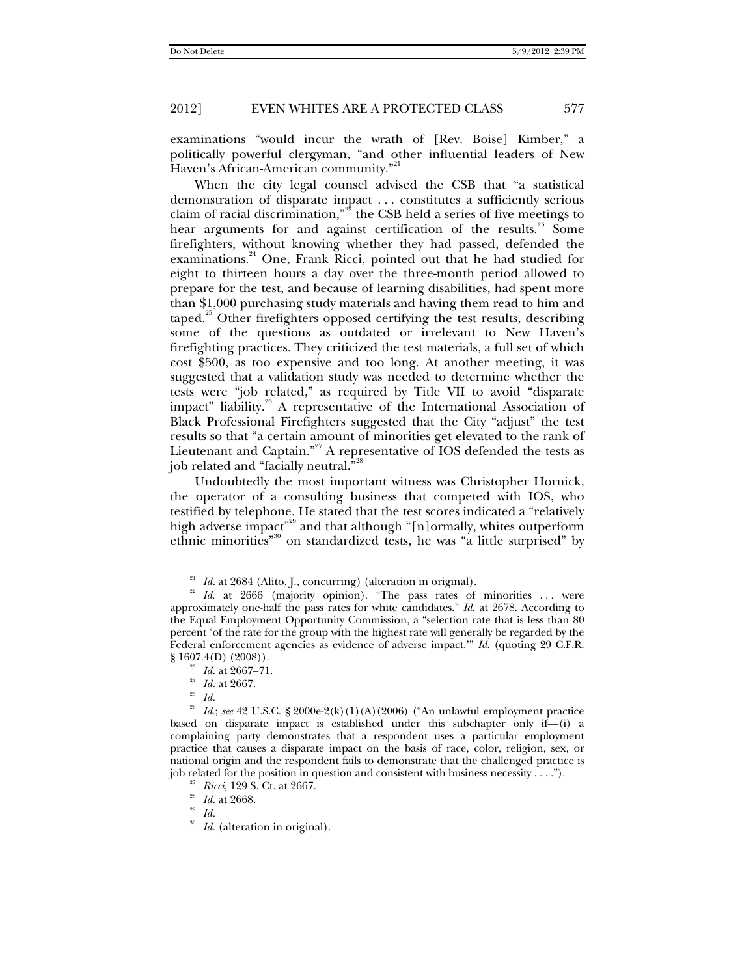examinations "would incur the wrath of [Rev. Boise] Kimber," a politically powerful clergyman, "and other influential leaders of New Haven's African-American community."<sup>21</sup>

When the city legal counsel advised the CSB that "a statistical demonstration of disparate impact . . . constitutes a sufficiently serious claim of racial discrimination,"<sup>22</sup> the CSB held a series of five meetings to hear arguments for and against certification of the results.<sup>23</sup> Some firefighters, without knowing whether they had passed, defended the examinations.<sup>24</sup> One, Frank Ricci, pointed out that he had studied for eight to thirteen hours a day over the three-month period allowed to prepare for the test, and because of learning disabilities, had spent more than \$1,000 purchasing study materials and having them read to him and taped.<sup>25</sup> Other firefighters opposed certifying the test results, describing some of the questions as outdated or irrelevant to New Haven's firefighting practices. They criticized the test materials, a full set of which cost \$500, as too expensive and too long. At another meeting, it was suggested that a validation study was needed to determine whether the tests were "job related," as required by Title VII to avoid "disparate impact" liability.<sup>26</sup> A representative of the International Association of Black Professional Firefighters suggested that the City "adjust" the test results so that "a certain amount of minorities get elevated to the rank of Lieutenant and Captain."<sup>27</sup> A representative of IOS defended the tests as job related and "facially neutral."<sup>28</sup>

Undoubtedly the most important witness was Christopher Hornick, the operator of a consulting business that competed with IOS, who testified by telephone. He stated that the test scores indicated a "relatively high adverse impact"<sup>29</sup> and that although "[n]ormally, whites outperform ethnic minorities"<sup>30</sup> on standardized tests, he was "a little surprised" by

<sup>&</sup>lt;sup>21</sup> *Id.* at 2684 (Alito, J., concurring) (alteration in original).<br><sup>22</sup> *Id.* at 2666 (majority opinion). "The pass rates of minorities ... were approximately one-half the pass rates for white candidates." *Id.* at 2678. According to the Equal Employment Opportunity Commission, a "selection rate that is less than 80 percent 'of the rate for the group with the highest rate will generally be regarded by the Federal enforcement agencies as evidence of adverse impact.'" *Id.* (quoting 29 C.F.R. § 1607.4(D) (2008)). 23 *Id.* at 2667–71. 24 *Id.* at 2667. 25 *Id.*

*Id.*; *see* 42 U.S.C. § 2000e-2(k)(1)(A)(2006) ("An unlawful employment practice based on disparate impact is established under this subchapter only if—(i) a complaining party demonstrates that a respondent uses a particular employment practice that causes a disparate impact on the basis of race, color, religion, sex, or national origin and the respondent fails to demonstrate that the challenged practice is job related for the position in question and consistent with business necessity . . . ."). <sup>27</sup> *Ricci*, 129 S. Ct. at 2667. <sup>28</sup> *Id.* at 2668. <sup>29</sup> *Id* 

<sup>30</sup> *Id.* (alteration in original).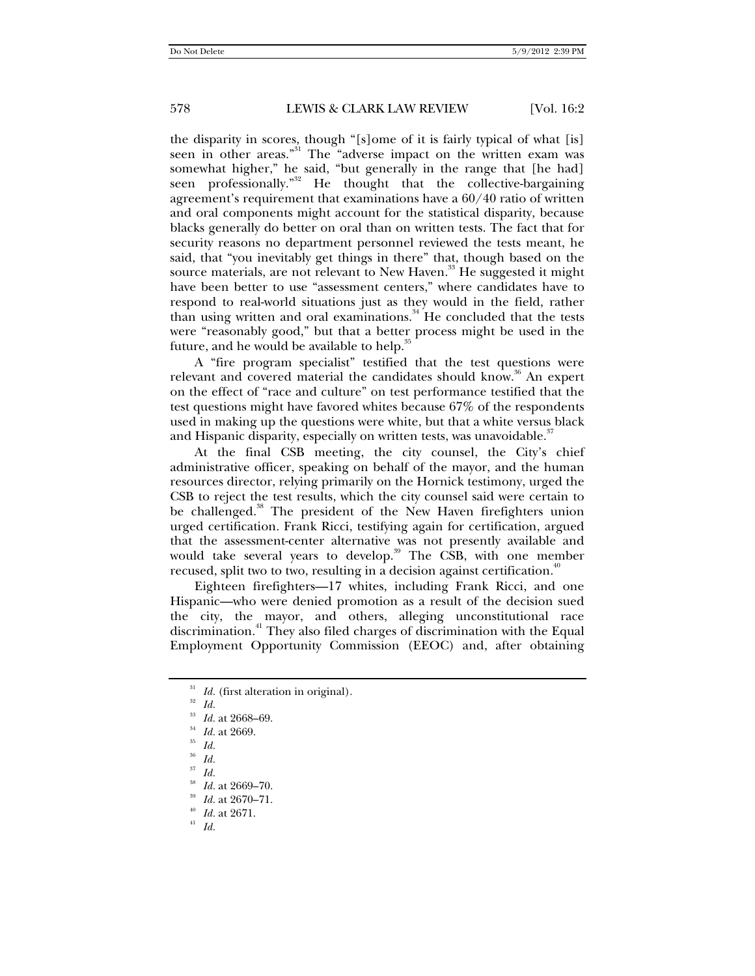the disparity in scores, though "[s]ome of it is fairly typical of what [is] seen in other areas."<sup>31</sup> The "adverse impact on the written exam was somewhat higher," he said, "but generally in the range that [he had] seen professionally."<sup>32</sup> He thought that the collective-bargaining agreement's requirement that examinations have a 60/40 ratio of written and oral components might account for the statistical disparity, because blacks generally do better on oral than on written tests. The fact that for security reasons no department personnel reviewed the tests meant, he said, that "you inevitably get things in there" that, though based on the source materials, are not relevant to New Haven.<sup>33</sup> He suggested it might have been better to use "assessment centers," where candidates have to respond to real-world situations just as they would in the field, rather than using written and oral examinations. $34$  He concluded that the tests were "reasonably good," but that a better process might be used in the future, and he would be available to help. $35$ 

A "fire program specialist" testified that the test questions were relevant and covered material the candidates should know.<sup>36</sup> An expert on the effect of "race and culture" on test performance testified that the test questions might have favored whites because 67% of the respondents used in making up the questions were white, but that a white versus black and Hispanic disparity, especially on written tests, was unavoidable.<sup>37</sup>

At the final CSB meeting, the city counsel, the City's chief administrative officer, speaking on behalf of the mayor, and the human resources director, relying primarily on the Hornick testimony, urged the CSB to reject the test results, which the city counsel said were certain to be challenged.<sup>38</sup> The president of the New Haven firefighters union urged certification. Frank Ricci, testifying again for certification, argued that the assessment-center alternative was not presently available and would take several years to develop.<sup>39</sup> The CSB, with one member recused, split two to two, resulting in a decision against certification.<sup>4</sup>

Eighteen firefighters—17 whites, including Frank Ricci, and one Hispanic—who were denied promotion as a result of the decision sued the city, the mayor, and others, alleging unconstitutional race discrimination.<sup>41</sup> They also filed charges of discrimination with the Equal Employment Opportunity Commission (EEOC) and, after obtaining

<sup>&</sup>lt;sup>31</sup> *Id.* (first alteration in original).<br><sup>32</sup> *Id.*<br><sup>33</sup> *Id.* 26688 60

<sup>33</sup> *Id.* at 2668–69. 34 *Id.* at 2669. 35 *Id.*<sup>36</sup> *Id.*

 $rac{37}{38}$  *Id.* 

<sup>38</sup> *Id.* at 2669–70. 39 *Id.* at 2670–71. 40 *Id.* at 2671. 41 *Id.*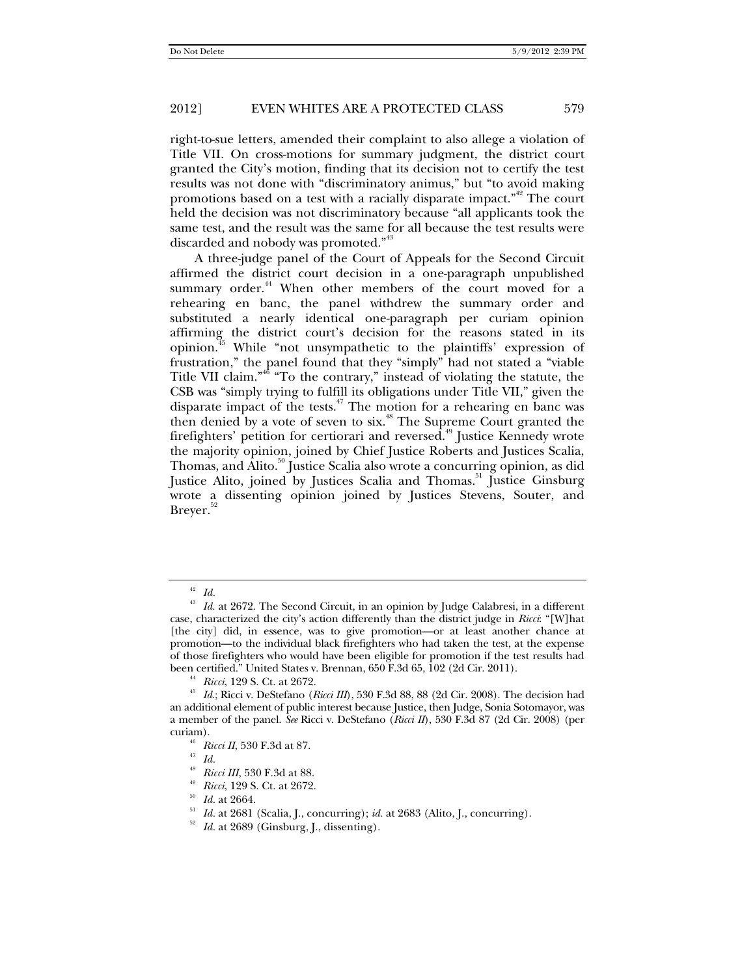right-to-sue letters, amended their complaint to also allege a violation of Title VII. On cross-motions for summary judgment, the district court granted the City's motion, finding that its decision not to certify the test results was not done with "discriminatory animus," but "to avoid making promotions based on a test with a racially disparate impact."42 The court held the decision was not discriminatory because "all applicants took the same test, and the result was the same for all because the test results were discarded and nobody was promoted."<sup>43</sup>

A three-judge panel of the Court of Appeals for the Second Circuit affirmed the district court decision in a one-paragraph unpublished summary order.<sup>44</sup> When other members of the court moved for a rehearing en banc, the panel withdrew the summary order and substituted a nearly identical one-paragraph per curiam opinion affirming the district court's decision for the reasons stated in its opinion.45 While "not unsympathetic to the plaintiffs' expression of frustration," the panel found that they "simply" had not stated a "viable Title VII claim."46 "To the contrary," instead of violating the statute, the CSB was "simply trying to fulfill its obligations under Title VII," given the disparate impact of the tests.<sup> $47$ </sup> The motion for a rehearing en banc was then denied by a vote of seven to six.<sup>48</sup> The Supreme Court granted the firefighters' petition for certiorari and reversed.<sup>49</sup> Justice Kennedy wrote the majority opinion, joined by Chief Justice Roberts and Justices Scalia, Thomas, and Alito.<sup>50</sup> Justice Scalia also wrote a concurring opinion, as did Justice Alito, joined by Justices Scalia and Thomas.<sup>51</sup> Justice Ginsburg wrote a dissenting opinion joined by Justices Stevens, Souter, and Brever.<sup>52</sup>

<sup>42</sup> *Id.*

<sup>&</sup>lt;sup>43</sup> *Id.* at 2672. The Second Circuit, in an opinion by Judge Calabresi, in a different case, characterized the city's action differently than the district judge in *Ricci*: "[W]hat [the city] did, in essence, was to give promotion-or at least another chance at promotion—to the individual black firefighters who had taken the test, at the expense of those firefighters who would have been eligible for promotion if the test results had

been certified." United States v. Brennan, 650 F.3d 65, 102 (2d Cir. 2011).<br><sup>44</sup> *Ricci*, 129 S. Ct. at 2672.<br><sup>45</sup> *Id.*; Ricci v. DeStefano (*Ricci III*), 530 F.3d 88, 88 (2d Cir. 2008). The decision had an additional element of public interest because Justice, then Judge, Sonia Sotomayor, was a member of the panel. *See* Ricci v. DeStefano (*Ricci II*), 530 F.3d 87 (2d Cir. 2008) (per

<sup>&</sup>lt;sup>46</sup> *Ricci II*, 530 F.3d at 87.<br><sup>47</sup> *Id.*<br><sup>48</sup> *Ricci III*, 530 F.3d at 88.

<sup>&</sup>lt;sup>49</sup> Ricci, 129 S. Ct. at 2672.<br><sup>50</sup> Id. at 2664.<br><sup>51</sup> Id. at 2681 (Scalia, J., concurring); id. at 2683 (Alito, J., concurring).<br><sup>52</sup> Id. at 2689 (Ginsburg, J., dissenting).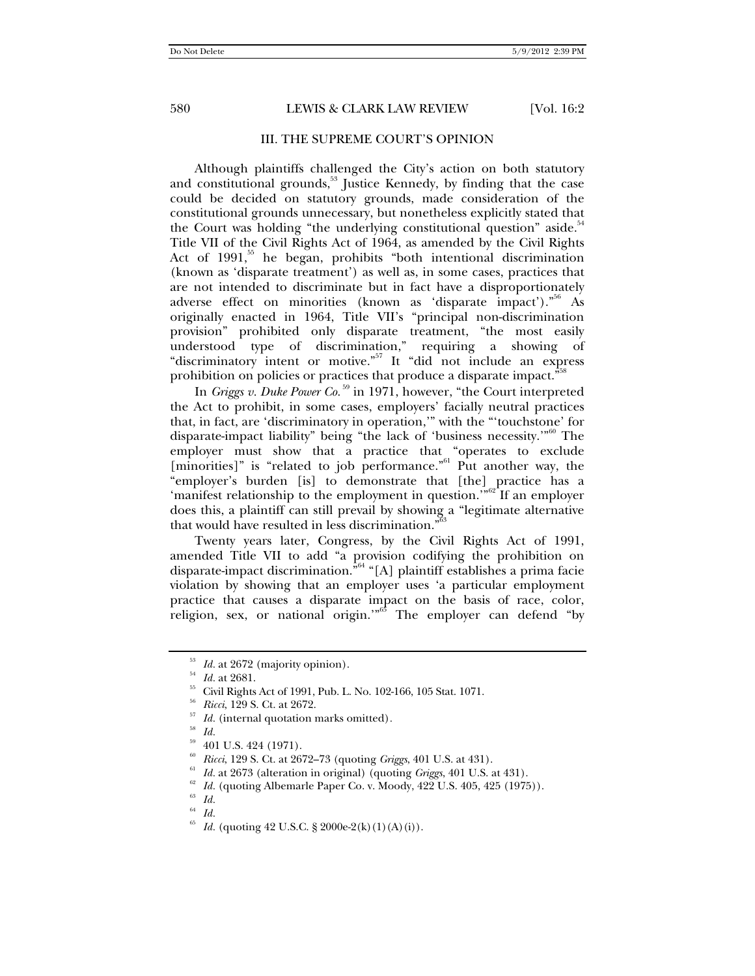#### III. THE SUPREME COURT'S OPINION

Although plaintiffs challenged the City's action on both statutory and constitutional grounds, $53$  Justice Kennedy, by finding that the case could be decided on statutory grounds, made consideration of the constitutional grounds unnecessary, but nonetheless explicitly stated that the Court was holding "the underlying constitutional question" aside. $54$ Title VII of the Civil Rights Act of 1964, as amended by the Civil Rights Act of  $1991$ <sup>55</sup> he began, prohibits "both intentional discrimination (known as 'disparate treatment') as well as, in some cases, practices that are not intended to discriminate but in fact have a disproportionately adverse effect on minorities (known as 'disparate impact')."<sup>56</sup> As originally enacted in 1964, Title VII's "principal non-discrimination provision" prohibited only disparate treatment, "the most easily understood type of discrimination," requiring a showing of "discriminatory intent or motive."<sup>57</sup> It "did not include an express prohibition on policies or practices that produce a disparate impact."

In *Griggs v. Duke Power Co.* 59 in 1971, however, "the Court interpreted the Act to prohibit, in some cases, employers' facially neutral practices that, in fact, are 'discriminatory in operation,'" with the "'touchstone' for disparate-impact liability" being "the lack of 'business necessity.'"60 The employer must show that a practice that "operates to exclude  ${\overline{\mathrm{minor}}\atop \mathrm{inorities}}$ " is "related to job performance." Put another way, the "employer's burden [is] to demonstrate that [the] practice has a 'manifest relationship to the employment in question."<sup>62</sup> If an employer does this, a plaintiff can still prevail by showing a "legitimate alternative that would have resulted in less discrimination. $\mathbb{S}^6$ 

Twenty years later, Congress, by the Civil Rights Act of 1991, amended Title VII to add "a provision codifying the prohibition on disparate-impact discrimination."64 "[A] plaintiff establishes a prima facie violation by showing that an employer uses 'a particular employment practice that causes a disparate impact on the basis of race, color, religion, sex, or national origin."<sup>65</sup> The employer can defend "by

<sup>&</sup>lt;sup>53</sup> *Id.* at 2672 (majority opinion).<br><sup>54</sup> *Id.* at 2681.<br><sup>55</sup> Civil Rights Act of 1991, Pub. L. No. 102-166, 105 Stat. 1071.<br><sup>55</sup> *Ricci*, 129 S. Ct. at 2672.<br><sup>57</sup> *Id.* (internal quotation marks omitted).

 $10^{58}$   $Id.$  <br>  $294$  (1971).

<sup>&</sup>lt;sup>60</sup> Ricci, 129 S. Ct. at 2672–73 (quoting Griggs, 401 U.S. at 431).<br>
<sup>61</sup> Id. at 2673 (alteration in original) (quoting Griggs, 401 U.S. at 431).<br>
<sup>62</sup> Id. (quoting Albemarle Paper Co. v. Moody, 422 U.S. 405, 425 (1975))

<sup>64</sup> *Id.*

*Id.* (quoting 42 U.S.C. § 2000e-2(k)(1)(A)(i)).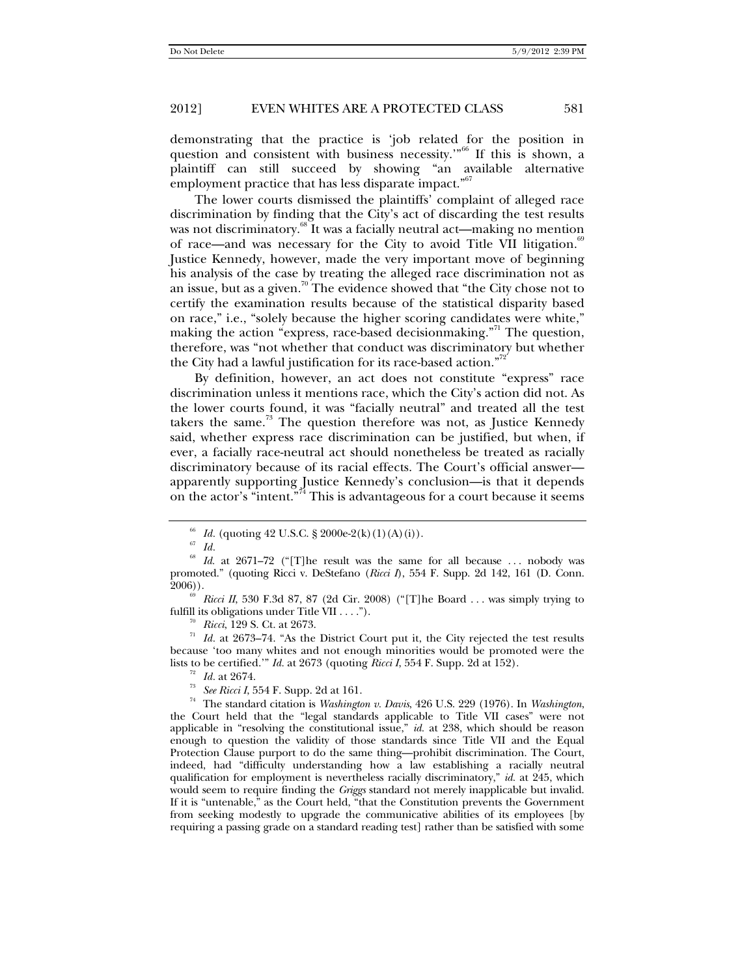demonstrating that the practice is 'job related for the position in question and consistent with business necessity."<sup>66</sup> If this is shown, a plaintiff can still succeed by showing "an available alternative employment practice that has less disparate impact."<sup>67</sup>

The lower courts dismissed the plaintiffs' complaint of alleged race discrimination by finding that the City's act of discarding the test results was not discriminatory.<sup>68</sup> It was a facially neutral act—making no mention of race—and was necessary for the City to avoid Title VII litigation.<sup>89</sup> Justice Kennedy, however, made the very important move of beginning his analysis of the case by treating the alleged race discrimination not as an issue, but as a given.<sup>70</sup> The evidence showed that "the City chose not to certify the examination results because of the statistical disparity based on race," i.e., "solely because the higher scoring candidates were white," making the action "express, race-based decisionmaking."<sup>71</sup> The question, therefore, was "not whether that conduct was discriminatory but whether the City had a lawful justification for its race-based action."72

By definition, however, an act does not constitute "express" race discrimination unless it mentions race, which the City's action did not. As the lower courts found, it was "facially neutral" and treated all the test takers the same.<sup>73</sup> The question therefore was not, as Justice Kennedy said, whether express race discrimination can be justified, but when, if ever, a facially race-neutral act should nonetheless be treated as racially discriminatory because of its racial effects. The Court's official answer apparently supporting Justice Kennedy's conclusion—is that it depends on the actor's "intent."74 This is advantageous for a court because it seems

<sup>70</sup> *Ricci*, 129 S. Ct. at 2673.<br><sup>71</sup> *Id.* at 2673–74. "As the District Court put it, the City rejected the test results because 'too many whites and not enough minorities would be promoted were the lists to be certified." *Id.* at 2673 (quoting *Ricci I*, 554 F. Supp. 2d at 152).

 $_{67}^{66}$   $Id.$  (quoting 42 U.S.C. § 2000e-2(k)(1)(A)(i)).  $_{67}^{67}$   $Id.$ 

Id. at 2671-72 ("[T]he result was the same for all because ... nobody was promoted." (quoting Ricci v. DeStefano (*Ricci I*), 554 F. Supp. 2d 142, 161 (D. Conn.

<sup>2006)).&</sup>lt;br><sup>69</sup> *Ricci II*, 530 F.3d 87, 87 (2d Cir. 2008) ("[T]he Board . . . was simply trying to fulfill its obligations under Title VII . . . .").

<sup>&</sup>lt;sup>72</sup> *Id.* at 2674.<br><sup>73</sup> *See Ricci I*, 554 F. Supp. 2d at 161.<br><sup>74</sup> The standard citation is *Washington v. Davis*, 426 U.S. 229 (1976). In *Washington*, the Court held that the "legal standards applicable to Title VII cases" were not applicable in "resolving the constitutional issue," *id.* at 238, which should be reason enough to question the validity of those standards since Title VII and the Equal Protection Clause purport to do the same thing—prohibit discrimination. The Court, indeed, had "difficulty understanding how a law establishing a racially neutral qualification for employment is nevertheless racially discriminatory," *id.* at 245, which would seem to require finding the *Griggs* standard not merely inapplicable but invalid. If it is "untenable," as the Court held, "that the Constitution prevents the Government from seeking modestly to upgrade the communicative abilities of its employees [by requiring a passing grade on a standard reading test] rather than be satisfied with some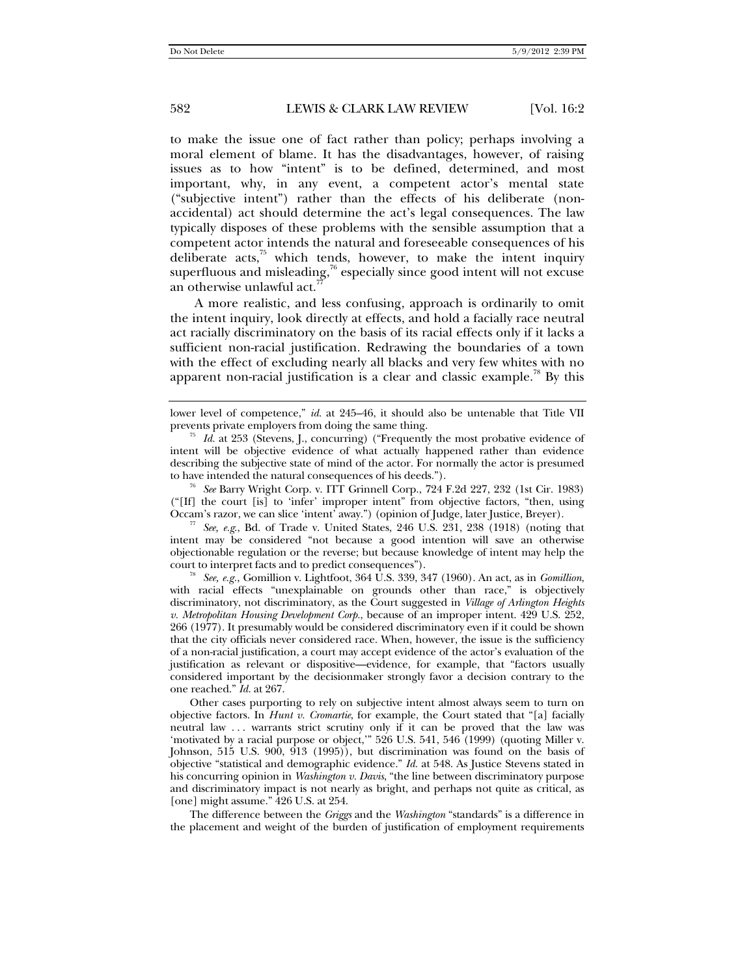to make the issue one of fact rather than policy; perhaps involving a moral element of blame. It has the disadvantages, however, of raising issues as to how "intent" is to be defined, determined, and most important, why, in any event, a competent actor's mental state ("subjective intent") rather than the effects of his deliberate (nonaccidental) act should determine the act's legal consequences. The law typically disposes of these problems with the sensible assumption that a competent actor intends the natural and foreseeable consequences of his deliberate acts, $75$  which tends, however, to make the intent inquiry superfluous and misleading, $\frac{76}{6}$  especially since good intent will not excuse an otherwise unlawful act.<sup>7</sup>

A more realistic, and less confusing, approach is ordinarily to omit the intent inquiry, look directly at effects, and hold a facially race neutral act racially discriminatory on the basis of its racial effects only if it lacks a sufficient non-racial justification. Redrawing the boundaries of a town with the effect of excluding nearly all blacks and very few whites with no apparent non-racial justification is a clear and classic example.<sup>78</sup> By this

("[If] the court [is] to 'infer' improper intent" from objective factors, "then, using

 $\frac{7}{10}$  See, *e.g.*, Bd. of Trade v. United States, 246 U.S. 231, 238 (1918) (noting that intent may be considered "not because a good intention will save an otherwise objectionable regulation or the reverse; but because knowledge of intent may help the

court to interpret facts and to predict consequences"). 78 *See, e.g.*, Gomillion v. Lightfoot, 364 U.S. 339, 347 (1960). An act, as in *Gomillion*, with racial effects "unexplainable on grounds other than race," is objectively discriminatory, not discriminatory, as the Court suggested in *Village of Arlington Heights v. Metropolitan Housing Development Corp.*, because of an improper intent. 429 U.S. 252, 266 (1977). It presumably would be considered discriminatory even if it could be shown that the city officials never considered race. When, however, the issue is the sufficiency of a non-racial justification, a court may accept evidence of the actor's evaluation of the justification as relevant or dispositive—evidence, for example, that "factors usually considered important by the decisionmaker strongly favor a decision contrary to the one reached." *Id.* at 267.

 Other cases purporting to rely on subjective intent almost always seem to turn on objective factors. In *Hunt v. Cromartie*, for example, the Court stated that "[a] facially neutral law ... warrants strict scrutiny only if it can be proved that the law was 'motivated by a racial purpose or object,'" 526 U.S. 541, 546 (1999) (quoting Miller v. Johnson, 515 U.S. 900, 913 (1995)), but discrimination was found on the basis of objective "statistical and demographic evidence." *Id.* at 548. As Justice Stevens stated in his concurring opinion in *Washington v. Davis*, "the line between discriminatory purpose and discriminatory impact is not nearly as bright, and perhaps not quite as critical, as [one] might assume." 426 U.S. at 254.

 The difference between the *Griggs* and the *Washington* "standards" is a difference in the placement and weight of the burden of justification of employment requirements

lower level of competence," *id.* at 245–46, it should also be untenable that Title VII prevents private employers from doing the same thing.

 $\frac{75}{10}$  *Id.* at 253 (Stevens, J., concurring) ("Frequently the most probative evidence of intent will be objective evidence of what actually happened rather than evidence describing the subjective state of mind of the actor. For normally the actor is presumed to have intended the natural consequences of his deeds."). 76 *See* Barry Wright Corp. v. ITT Grinnell Corp., 724 F.2d 227, 232 (1st Cir. 1983)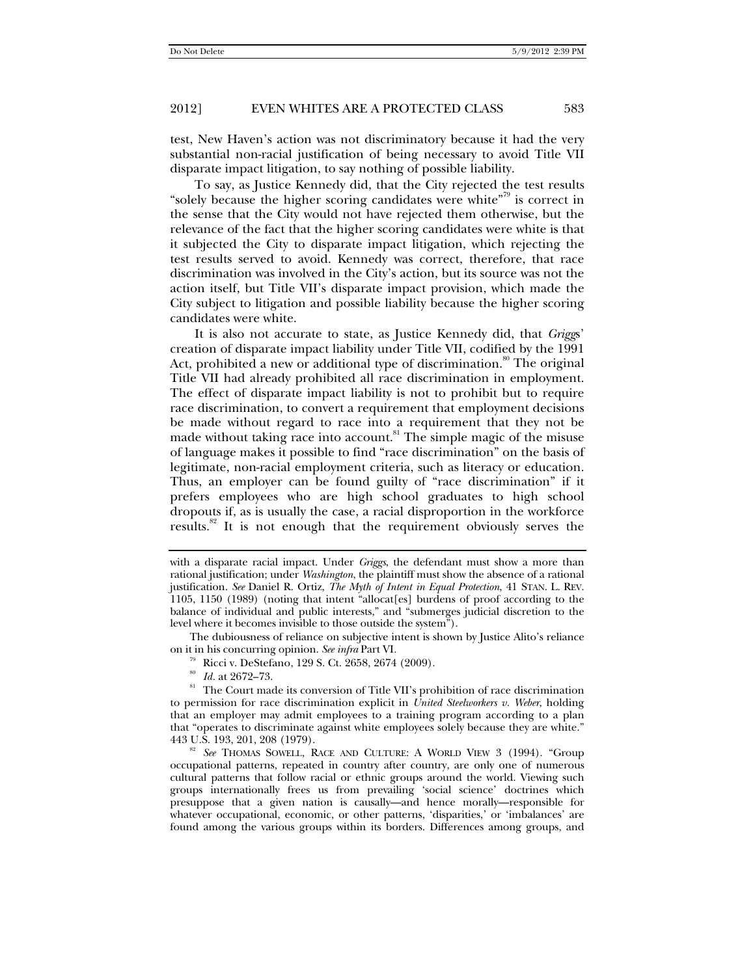test, New Haven's action was not discriminatory because it had the very substantial non-racial justification of being necessary to avoid Title VII disparate impact litigation, to say nothing of possible liability.

To say, as Justice Kennedy did, that the City rejected the test results "solely because the higher scoring candidates were white"<sup>79</sup> is correct in the sense that the City would not have rejected them otherwise, but the relevance of the fact that the higher scoring candidates were white is that it subjected the City to disparate impact litigation, which rejecting the test results served to avoid. Kennedy was correct, therefore, that race discrimination was involved in the City's action, but its source was not the action itself, but Title VII's disparate impact provision, which made the City subject to litigation and possible liability because the higher scoring candidates were white.

It is also not accurate to state, as Justice Kennedy did, that *Grigg*s' creation of disparate impact liability under Title VII, codified by the 1991 Act, prohibited a new or additional type of discrimination.<sup>80</sup> The original Title VII had already prohibited all race discrimination in employment. The effect of disparate impact liability is not to prohibit but to require race discrimination, to convert a requirement that employment decisions be made without regard to race into a requirement that they not be made without taking race into account.<sup>81</sup> The simple magic of the misuse of language makes it possible to find "race discrimination" on the basis of legitimate, non-racial employment criteria, such as literacy or education. Thus, an employer can be found guilty of "race discrimination" if it prefers employees who are high school graduates to high school dropouts if, as is usually the case, a racial disproportion in the workforce results.<sup>82</sup> It is not enough that the requirement obviously serves the

 The dubiousness of reliance on subjective intent is shown by Justice Alito's reliance on it in his concurring opinion. *See infra* Part VI*.*

with a disparate racial impact. Under *Griggs*, the defendant must show a more than rational justification; under *Washington*, the plaintiff must show the absence of a rational justification. *See* Daniel R. Ortiz, *The Myth of Intent in Equal Protection*, 41 STAN. L. REV. 1105, 1150 (1989) (noting that intent "allocat[es] burdens of proof according to the balance of individual and public interests," and "submerges judicial discretion to the level where it becomes invisible to those outside the system").

<sup>&</sup>lt;sup>79</sup> Ricci v. DeStefano, 129 S. Ct. 2658, 2674 (2009).<br><sup>80</sup> *Id.* at 2672–73.<br><sup>81</sup> The Court made its conversion of Title VII's prohibition of race discrimination to permission for race discrimination explicit in *United Steelworkers v. Weber*, holding that an employer may admit employees to a training program according to a plan that "operates to discriminate against white employees solely because they are white."

<sup>&</sup>lt;sup>82</sup> See THOMAS SOWELL, RACE AND CULTURE: A WORLD VIEW 3 (1994). "Group occupational patterns, repeated in country after country, are only one of numerous cultural patterns that follow racial or ethnic groups around the world. Viewing such groups internationally frees us from prevailing 'social science' doctrines which presuppose that a given nation is causally—and hence morally—responsible for whatever occupational, economic, or other patterns, 'disparities,' or 'imbalances' are found among the various groups within its borders. Differences among groups, and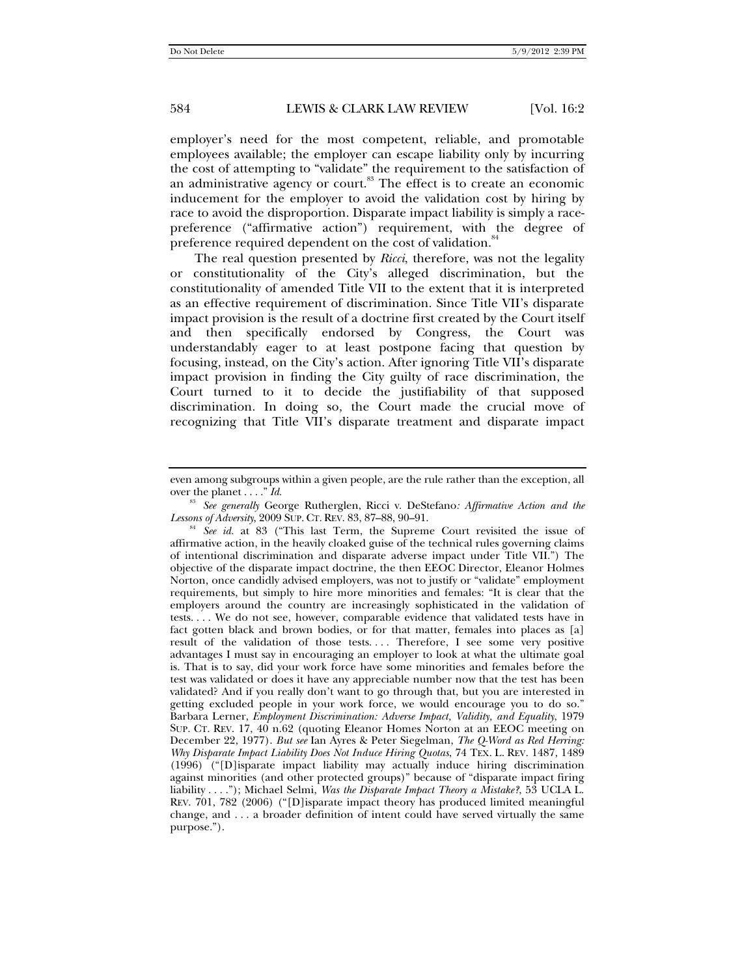employer's need for the most competent, reliable, and promotable employees available; the employer can escape liability only by incurring the cost of attempting to "validate" the requirement to the satisfaction of an administrative agency or court.<sup>83</sup> The effect is to create an economic inducement for the employer to avoid the validation cost by hiring by race to avoid the disproportion. Disparate impact liability is simply a racepreference ("affirmative action") requirement, with the degree of preference required dependent on the cost of validation.<sup>84</sup>

The real question presented by *Ricci*, therefore, was not the legality or constitutionality of the City's alleged discrimination, but the constitutionality of amended Title VII to the extent that it is interpreted as an effective requirement of discrimination. Since Title VII's disparate impact provision is the result of a doctrine first created by the Court itself and then specifically endorsed by Congress, the Court was understandably eager to at least postpone facing that question by focusing, instead, on the City's action. After ignoring Title VII's disparate impact provision in finding the City guilty of race discrimination, the Court turned to it to decide the justifiability of that supposed discrimination. In doing so, the Court made the crucial move of recognizing that Title VII's disparate treatment and disparate impact

even among subgroups within a given people, are the rule rather than the exception, all over the planet . . . ." *Id.*

<sup>&</sup>lt;sup>83</sup> *See generally George Rutherglen, Ricci v. DeStefano: Affirmative Action and the Lessons of Adversity, 2009 Sup. CT. REV. 83, 87–88, 90–91.* 

<sup>&</sup>lt;sup>84</sup> See id. at 83 ("This last Term, the Supreme Court revisited the issue of affirmative action, in the heavily cloaked guise of the technical rules governing claims of intentional discrimination and disparate adverse impact under Title VII.") The objective of the disparate impact doctrine, the then EEOC Director, Eleanor Holmes Norton, once candidly advised employers, was not to justify or "validate" employment requirements, but simply to hire more minorities and females: "It is clear that the employers around the country are increasingly sophisticated in the validation of tests. . . . We do not see, however, comparable evidence that validated tests have in fact gotten black and brown bodies, or for that matter, females into places as [a] result of the validation of those tests.... Therefore, I see some very positive advantages I must say in encouraging an employer to look at what the ultimate goal is. That is to say, did your work force have some minorities and females before the test was validated or does it have any appreciable number now that the test has been validated? And if you really don't want to go through that, but you are interested in getting excluded people in your work force, we would encourage you to do so." Barbara Lerner, *Employment Discrimination: Adverse Impact, Validity, and Equality*, 1979 SUP. CT. REV. 17, 40 n.62 (quoting Eleanor Homes Norton at an EEOC meeting on December 22, 1977). *But see* Ian Ayres & Peter Siegelman, *The Q-Word as Red Herring: Why Disparate Impact Liability Does Not Induce Hiring Quotas*, 74 TEX. L. REV. 1487, 1489 (1996) ("[D]isparate impact liability may actually induce hiring discrimination against minorities (and other protected groups)" because of "disparate impact firing liability . . . ."); Michael Selmi, *Was the Disparate Impact Theory a Mistake?*, 53 UCLA L. REV. 701, 782 (2006) ("[D]isparate impact theory has produced limited meaningful change, and . . . a broader definition of intent could have served virtually the same purpose.").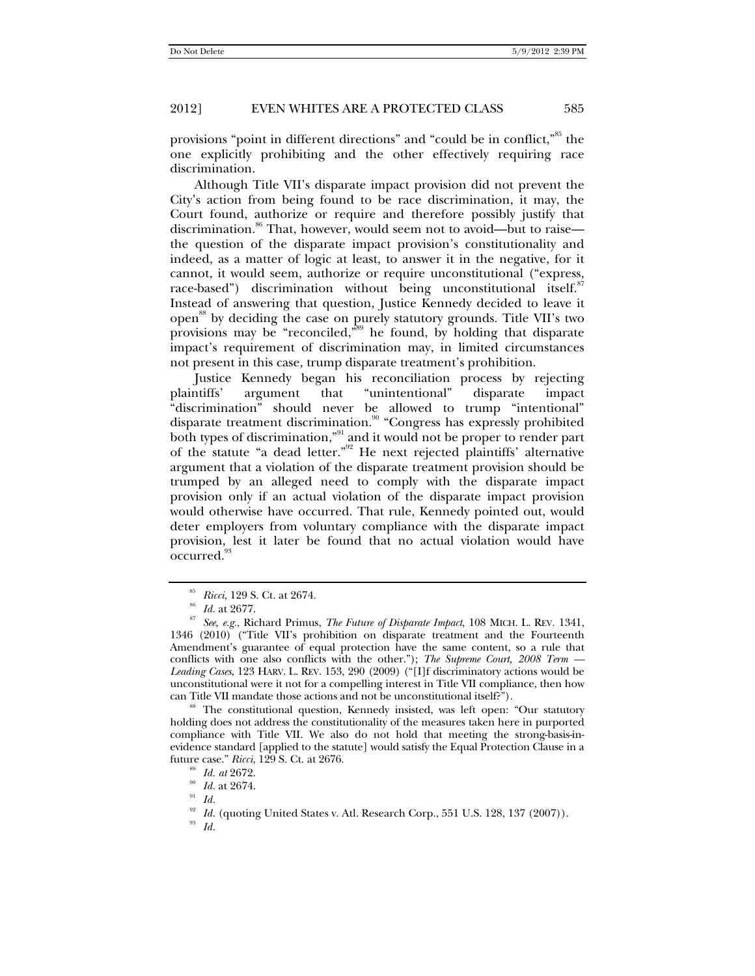provisions "point in different directions" and "could be in conflict,"85 the one explicitly prohibiting and the other effectively requiring race discrimination.

Although Title VII's disparate impact provision did not prevent the City's action from being found to be race discrimination, it may, the Court found, authorize or require and therefore possibly justify that discrimination.<sup>86</sup> That, however, would seem not to avoid—but to raise the question of the disparate impact provision's constitutionality and indeed, as a matter of logic at least, to answer it in the negative, for it cannot, it would seem, authorize or require unconstitutional ("express, race-based") discrimination without being unconstitutional itself.<sup>87</sup> Instead of answering that question, Justice Kennedy decided to leave it open<sup>88</sup> by deciding the case on purely statutory grounds. Title VII's two provisions may be "reconciled,"<sup>39</sup> he found, by holding that disparate impact's requirement of discrimination may, in limited circumstances not present in this case, trump disparate treatment's prohibition.

Justice Kennedy began his reconciliation process by rejecting plaintiffs' argument that "unintentional" disparate impact "discrimination" should never be allowed to trump "intentional" disparate treatment discrimination.<sup>90</sup> "Congress has expressly prohibited both types of discrimination,"<sup>91</sup> and it would not be proper to render part of the statute "a dead letter."92 He next rejected plaintiffs' alternative argument that a violation of the disparate treatment provision should be trumped by an alleged need to comply with the disparate impact provision only if an actual violation of the disparate impact provision would otherwise have occurred. That rule, Kennedy pointed out, would deter employers from voluntary compliance with the disparate impact provision, lest it later be found that no actual violation would have occurred.

<sup>88</sup> The constitutional question, Kennedy insisted, was left open: "Our statutory holding does not address the constitutionality of the measures taken here in purported compliance with Title VII. We also do not hold that meeting the strong-basis-inevidence standard [applied to the statute] would satisfy the Equal Protection Clause in a future case." *Ricci*, 129 S. Ct. at 2676. 89 *Id. at* 2672. 90 *Id.* at 2674. 91 *Id.*

<sup>85</sup> *Ricci*, 129 S. Ct. at 2674. 86 *Id.* at 2677. 87 *See, e.g.*, Richard Primus, *The Future of Disparate Impact*, 108 MICH. L. REV. 1341, 1346 (2010) ("Title VII's prohibition on disparate treatment and the Fourteenth Amendment's guarantee of equal protection have the same content, so a rule that conflicts with one also conflicts with the other."); *The Supreme Court, 2008 Term — Leading Cases*, 123 HARV. L. REV. 153, 290 (2009) ("[I]f discriminatory actions would be unconstitutional were it not for a compelling interest in Title VII compliance, then how

<sup>&</sup>lt;sup>92</sup> *Id.* (quoting United States v. Atl. Research Corp., 551 U.S. 128, 137 (2007)).  $Id$ .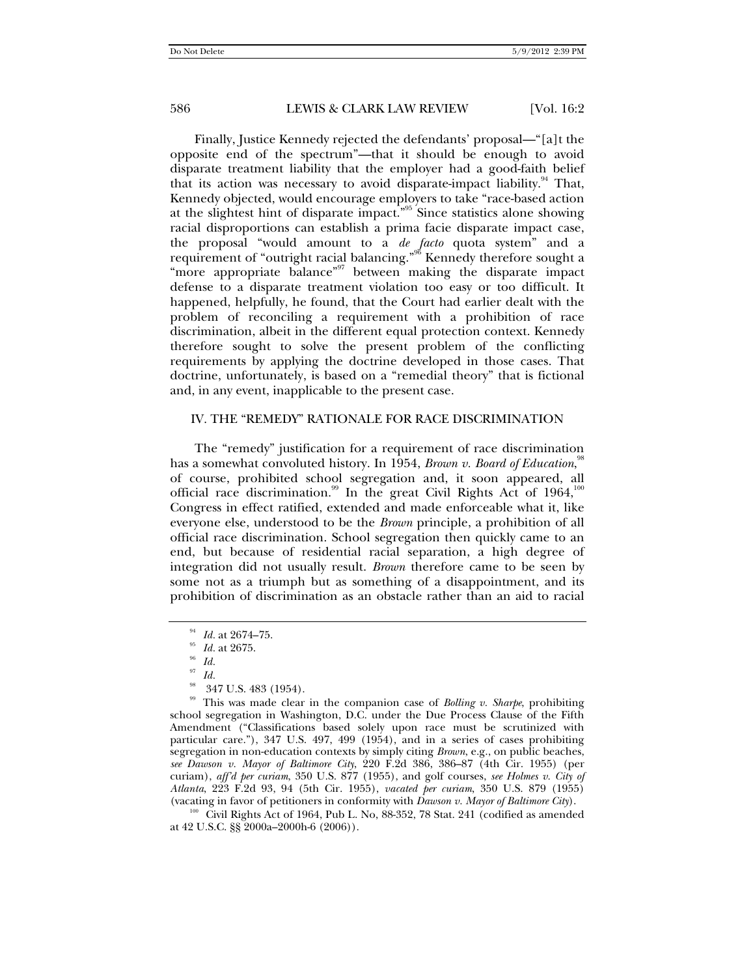Finally, Justice Kennedy rejected the defendants' proposal—"[a]t the opposite end of the spectrum"—that it should be enough to avoid disparate treatment liability that the employer had a good-faith belief that its action was necessary to avoid disparate-impact liability.<sup>94</sup> That, Kennedy objected, would encourage employers to take "race-based action at the slightest hint of disparate impact."95 Since statistics alone showing racial disproportions can establish a prima facie disparate impact case, the proposal "would amount to a *de facto* quota system" and a requirement of "outright racial balancing."96 Kennedy therefore sought a "more appropriate balance"<sup>97</sup> between making the disparate impact defense to a disparate treatment violation too easy or too difficult. It happened, helpfully, he found, that the Court had earlier dealt with the problem of reconciling a requirement with a prohibition of race discrimination, albeit in the different equal protection context. Kennedy therefore sought to solve the present problem of the conflicting requirements by applying the doctrine developed in those cases. That doctrine, unfortunately, is based on a "remedial theory" that is fictional and, in any event, inapplicable to the present case.

#### IV. THE "REMEDY" RATIONALE FOR RACE DISCRIMINATION

The "remedy" justification for a requirement of race discrimination has a somewhat convoluted history. In 1954, *Brown v. Board of Education*,<sup>98</sup> of course, prohibited school segregation and, it soon appeared, all official race discrimination.<sup>99</sup> In the great Civil Rights Act of  $1964$ ,<sup>100</sup> Congress in effect ratified, extended and made enforceable what it, like everyone else, understood to be the *Brown* principle, a prohibition of all official race discrimination. School segregation then quickly came to an end, but because of residential racial separation, a high degree of integration did not usually result. *Brown* therefore came to be seen by some not as a triumph but as something of a disappointment, and its prohibition of discrimination as an obstacle rather than an aid to racial

(vacating in favor of petitioners in conformity with *Dawson v. Mayor of Baltimore City*).<br><sup>100</sup> Civil Rights Act of 1964, Pub L. No, 88-352, 78 Stat. 241 (codified as amended at 42 U.S.C. §§ 2000a–2000h-6 (2006)).

<sup>94</sup> *Id.* at 2674–75. 95 *Id.* at 2675. 96 *Id.*

<sup>97</sup> *Id.*

<sup>98 347</sup> U.S. 483 (1954). 99 This was made clear in the companion case of *Bolling v. Sharpe*, prohibiting school segregation in Washington, D.C. under the Due Process Clause of the Fifth Amendment ("Classifications based solely upon race must be scrutinized with particular care."), 347 U.S. 497, 499 (1954), and in a series of cases prohibiting segregation in non-education contexts by simply citing *Brown*, e.g., on public beaches, *see Dawson v. Mayor of Baltimore City*, 220 F.2d 386, 386–87 (4th Cir. 1955) (per curiam), *aff'd per curiam*, 350 U.S. 877 (1955), and golf courses, *see Holmes v. City of Atlanta*, 223 F.2d 93, 94 (5th Cir. 1955), *vacated per curiam*, 350 U.S. 879 (1955)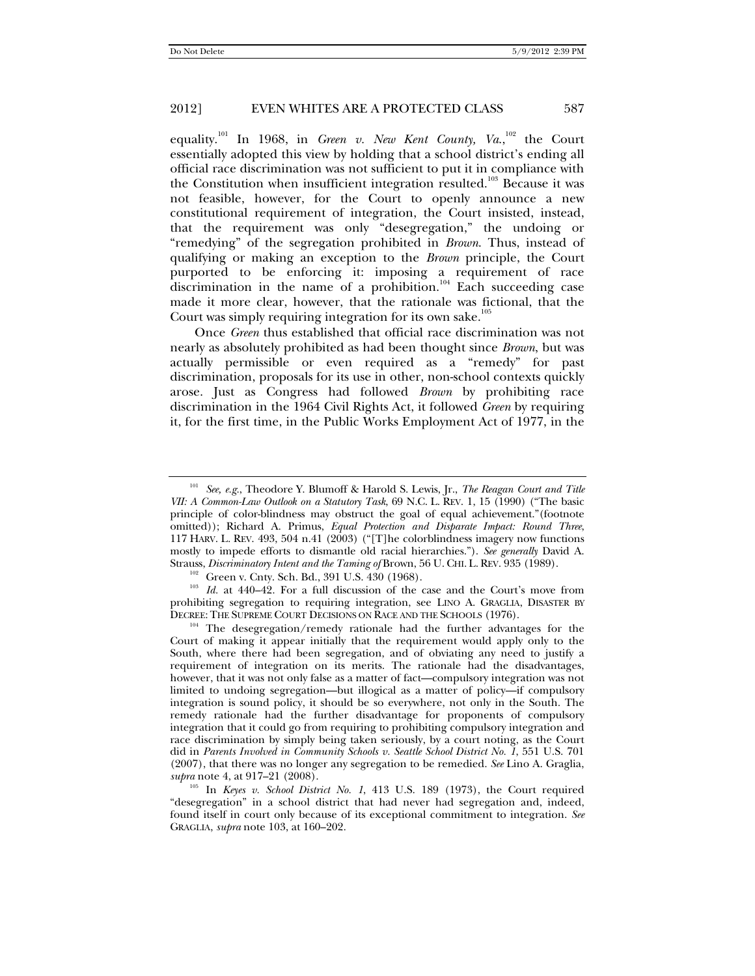equality.<sup>101</sup> In 1968, in *Green v. New Kent County, Va.*,<sup>102</sup> the Court essentially adopted this view by holding that a school district's ending all official race discrimination was not sufficient to put it in compliance with the Constitution when insufficient integration resulted.<sup>103</sup> Because it was not feasible, however, for the Court to openly announce a new constitutional requirement of integration, the Court insisted, instead, that the requirement was only "desegregation," the undoing or "remedying" of the segregation prohibited in *Brown*. Thus, instead of qualifying or making an exception to the *Brown* principle, the Court purported to be enforcing it: imposing a requirement of race discrimination in the name of a prohibition.<sup>104</sup> Each succeeding case made it more clear, however, that the rationale was fictional, that the Court was simply requiring integration for its own sake.<sup>105</sup>

Once *Green* thus established that official race discrimination was not nearly as absolutely prohibited as had been thought since *Brown*, but was actually permissible or even required as a "remedy" for past discrimination, proposals for its use in other, non-school contexts quickly arose. Just as Congress had followed *Brown* by prohibiting race discrimination in the 1964 Civil Rights Act, it followed *Green* by requiring it, for the first time, in the Public Works Employment Act of 1977, in the

<sup>101</sup> *See, e.g.*, Theodore Y. Blumoff & Harold S. Lewis, Jr., *The Reagan Court and Title VII: A Common-Law Outlook on a Statutory Task*, 69 N.C. L. REV. 1, 15 (1990) ("The basic principle of color-blindness may obstruct the goal of equal achievement."(footnote omitted)); Richard A. Primus, *Equal Protection and Disparate Impact: Round Three*, 117 HARV. L. REV. 493, 504 n.41 (2003) ("[T]he colorblindness imagery now functions mostly to impede efforts to dismantle old racial hierarchies."). *See generally* David A.

<sup>&</sup>lt;sup>102</sup> Green v. Cnty. Sch. Bd., 391 U.S. 430 (1968).<br><sup>103</sup> *Id.* at 440–42. For a full discussion of the case and the Court's move from prohibiting segregation to requiring integration, see LINO A. GRAGLIA, DISASTER BY DECREE: THE SUPREME COURT DECISIONS ON RACE AND THE SCHOOLS (1976).

<sup>104</sup> The desegregation/remedy rationale had the further advantages for the Court of making it appear initially that the requirement would apply only to the South, where there had been segregation, and of obviating any need to justify a requirement of integration on its merits. The rationale had the disadvantages, however, that it was not only false as a matter of fact—compulsory integration was not limited to undoing segregation—but illogical as a matter of policy—if compulsory integration is sound policy, it should be so everywhere, not only in the South. The remedy rationale had the further disadvantage for proponents of compulsory integration that it could go from requiring to prohibiting compulsory integration and race discrimination by simply being taken seriously, by a court noting, as the Court did in *Parents Involved in Community Schools v. Seattle School District No. 1*, 551 U.S. 701 (2007), that there was no longer any segregation to be remedied. *See* Lino A. Graglia, *supra* note 4, at 917–21 (2008).

<sup>105</sup> In *Keyes v. School District No. 1*, 413 U.S. 189 (1973), the Court required "desegregation" in a school district that had never had segregation and, indeed, found itself in court only because of its exceptional commitment to integration. *See* GRAGLIA, *supra* note 103, at 160–202.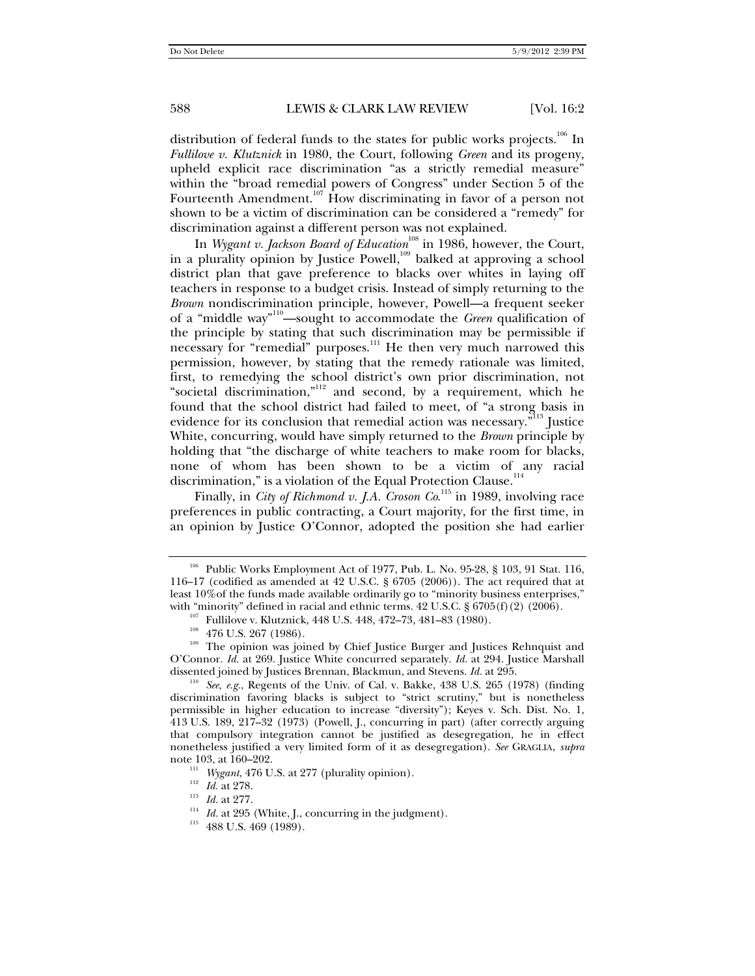distribution of federal funds to the states for public works projects.<sup>106</sup> In *Fullilove v. Klutznick* in 1980, the Court, following *Green* and its progeny, upheld explicit race discrimination "as a strictly remedial measure" within the "broad remedial powers of Congress" under Section 5 of the Fourteenth Amendment.<sup>107</sup> How discriminating in favor of a person not shown to be a victim of discrimination can be considered a "remedy" for discrimination against a different person was not explained.

In *Wygant v. Jackson Board of Education*<sup>108</sup> in 1986, however, the Court, in a plurality opinion by Justice Powell, $109$  balked at approving a school district plan that gave preference to blacks over whites in laying off teachers in response to a budget crisis. Instead of simply returning to the *Brown* nondiscrimination principle, however, Powell—a frequent seeker of a "middle way"110—sought to accommodate the *Green* qualification of the principle by stating that such discrimination may be permissible if necessary for "remedial" purposes.<sup>111</sup> He then very much narrowed this permission, however, by stating that the remedy rationale was limited, first, to remedying the school district's own prior discrimination, not "societal discrimination,"<sup>112</sup> and second, by a requirement, which he found that the school district had failed to meet, of "a strong basis in evidence for its conclusion that remedial action was necessary. $\vec{r}^{113}$  Justice White, concurring, would have simply returned to the *Brown* principle by holding that "the discharge of white teachers to make room for blacks, none of whom has been shown to be a victim of any racial discrimination," is a violation of the Equal Protection Clause.<sup>114</sup>

Finally, in *City of Richmond v. J.A. Croson Co.*<sup>115</sup> in 1989, involving race preferences in public contracting, a Court majority, for the first time, in an opinion by Justice O'Connor, adopted the position she had earlier

- 
- 

<sup>&</sup>lt;sup>106</sup> Public Works Employment Act of 1977, Pub. L. No. 95-28, § 103, 91 Stat. 116, 116–17 (codified as amended at 42 U.S.C. § 6705 (2006)). The act required that at least 10%of the funds made available ordinarily go to "minority business enterprises,"

with "minority" defined in racial and ethnic terms. 42 U.S.C. § 6705(f)(2) (2006).<br><sup>107</sup> Fullilove v. Klutznick, 448 U.S. 448, 472–73, 481–83 (1980).<br><sup>108</sup> 476 U.S. 267 (1986).<br><sup>109</sup> The opinion was joined by Chief Justic O'Connor. *Id.* at 269. Justice White concurred separately. *Id.* at 294. Justice Marshall

dissented joined by Justices Brennan, Blackmun, and Stevens. *Id.* at 295.<br><sup>110</sup> *See, e.g.*, Regents of the Univ. of Cal. v. Bakke, 438 U.S. 265 (1978) (finding discrimination favoring blacks is subject to "strict scrutiny," but is nonetheless permissible in higher education to increase "diversity"); Keyes v. Sch. Dist. No. 1, 413 U.S. 189, 217–32 (1973) (Powell, J., concurring in part) (after correctly arguing that compulsory integration cannot be justified as desegregation, he in effect nonetheless justified a very limited form of it as desegregation). *See* GRAGLIA, *supra* note 103, at 160–202.<br>
<sup>111</sup> *Wygant*, 476 U.S. at 277 (plurality opinion).<br>
<sup>112</sup> *Id.* at 278.<br>
<sup>114</sup> *Id.* at 295 (White, J., concurring in the judgment).<br>
<sup>115</sup> 488 U.S. 469 (1989).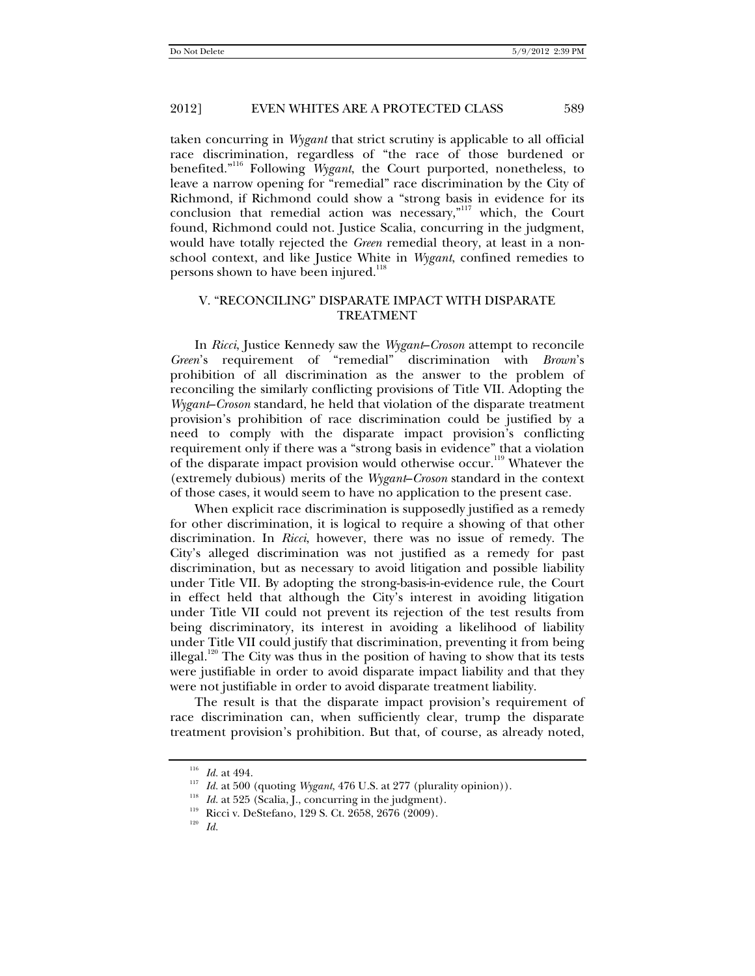taken concurring in *Wygant* that strict scrutiny is applicable to all official race discrimination, regardless of "the race of those burdened or benefited."116 Following *Wygant*, the Court purported, nonetheless, to leave a narrow opening for "remedial" race discrimination by the City of Richmond, if Richmond could show a "strong basis in evidence for its conclusion that remedial action was necessary,"117 which, the Court found, Richmond could not. Justice Scalia, concurring in the judgment, would have totally rejected the *Green* remedial theory, at least in a nonschool context, and like Justice White in *Wygant*, confined remedies to persons shown to have been injured.<sup>118</sup>

#### V. "RECONCILING" DISPARATE IMPACT WITH DISPARATE TREATMENT

In *Ricci*, Justice Kennedy saw the *Wygant*–*Croson* attempt to reconcile *Green*'s requirement of "remedial" discrimination with *Brown*'s prohibition of all discrimination as the answer to the problem of reconciling the similarly conflicting provisions of Title VII. Adopting the *Wygant*–*Croson* standard, he held that violation of the disparate treatment provision's prohibition of race discrimination could be justified by a need to comply with the disparate impact provision's conflicting requirement only if there was a "strong basis in evidence" that a violation of the disparate impact provision would otherwise occur.<sup>119</sup> Whatever the (extremely dubious) merits of the *Wygant*–*Croson* standard in the context of those cases, it would seem to have no application to the present case.

When explicit race discrimination is supposedly justified as a remedy for other discrimination, it is logical to require a showing of that other discrimination. In *Ricci*, however, there was no issue of remedy. The City's alleged discrimination was not justified as a remedy for past discrimination, but as necessary to avoid litigation and possible liability under Title VII. By adopting the strong-basis-in-evidence rule, the Court in effect held that although the City's interest in avoiding litigation under Title VII could not prevent its rejection of the test results from being discriminatory, its interest in avoiding a likelihood of liability under Title VII could justify that discrimination, preventing it from being illegal.120 The City was thus in the position of having to show that its tests were justifiable in order to avoid disparate impact liability and that they were not justifiable in order to avoid disparate treatment liability.

The result is that the disparate impact provision's requirement of race discrimination can, when sufficiently clear, trump the disparate treatment provision's prohibition. But that, of course, as already noted,

<sup>&</sup>lt;sup>116</sup> *Id.* at 494.<br>
<sup>117</sup> *Id.* at 500 (quoting *Wygant*, 476 U.S. at 277 (plurality opinion)).<br>
<sup>118</sup> *Id.* at 525 (Scalia, J., concurring in the judgment).<br>
<sup>119</sup> Ricci v. DeStefano, 129 S. Ct. 2658, 2676 (2009).<br>
<sup>120</sup>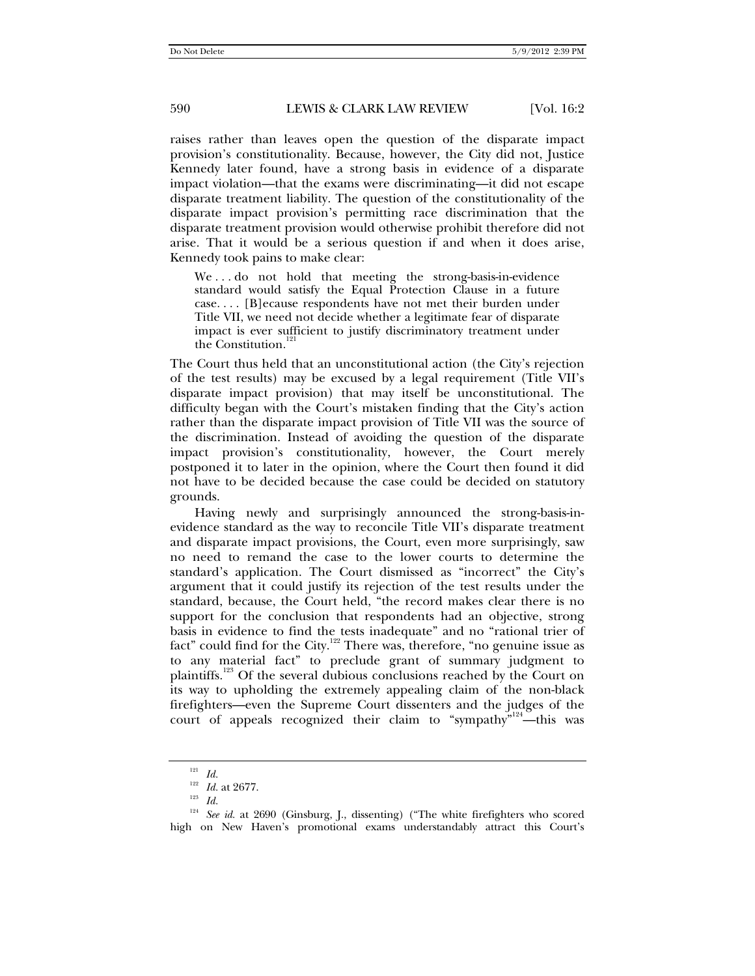raises rather than leaves open the question of the disparate impact provision's constitutionality. Because, however, the City did not, Justice Kennedy later found, have a strong basis in evidence of a disparate impact violation—that the exams were discriminating—it did not escape disparate treatment liability. The question of the constitutionality of the disparate impact provision's permitting race discrimination that the disparate treatment provision would otherwise prohibit therefore did not arise. That it would be a serious question if and when it does arise, Kennedy took pains to make clear:

We...do not hold that meeting the strong-basis-in-evidence standard would satisfy the Equal Protection Clause in a future case. . . . [B]ecause respondents have not met their burden under Title VII, we need not decide whether a legitimate fear of disparate impact is ever sufficient to justify discriminatory treatment under the Constitution.<sup>1</sup>

The Court thus held that an unconstitutional action (the City's rejection of the test results) may be excused by a legal requirement (Title VII's disparate impact provision) that may itself be unconstitutional. The difficulty began with the Court's mistaken finding that the City's action rather than the disparate impact provision of Title VII was the source of the discrimination. Instead of avoiding the question of the disparate impact provision's constitutionality, however, the Court merely postponed it to later in the opinion, where the Court then found it did not have to be decided because the case could be decided on statutory grounds.

Having newly and surprisingly announced the strong-basis-inevidence standard as the way to reconcile Title VII's disparate treatment and disparate impact provisions, the Court, even more surprisingly, saw no need to remand the case to the lower courts to determine the standard's application. The Court dismissed as "incorrect" the City's argument that it could justify its rejection of the test results under the standard, because, the Court held, "the record makes clear there is no support for the conclusion that respondents had an objective, strong basis in evidence to find the tests inadequate" and no "rational trier of fact" could find for the City.<sup>122</sup> There was, therefore, "no genuine issue as to any material fact" to preclude grant of summary judgment to plaintiffs.<sup>123</sup> Of the several dubious conclusions reached by the Court on its way to upholding the extremely appealing claim of the non-black firefighters—even the Supreme Court dissenters and the judges of the court of appeals recognized their claim to "sympathy"<sup>124</sup>—this was

<sup>121</sup> *Id.*

<sup>122</sup> *Id.* at 2677. 123 *Id.*

<sup>&</sup>lt;sup>124</sup> See id. at 2690 (Ginsburg, J., dissenting) ("The white firefighters who scored high on New Haven's promotional exams understandably attract this Court's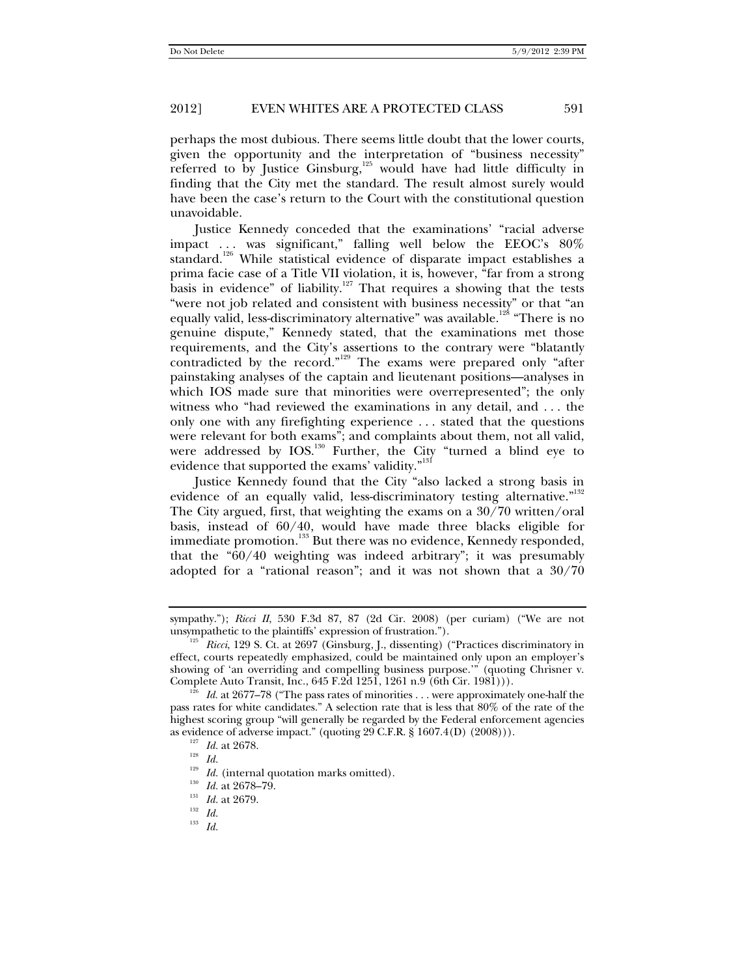perhaps the most dubious. There seems little doubt that the lower courts, given the opportunity and the interpretation of "business necessity" referred to by Justice Ginsburg,<sup>125</sup> would have had little difficulty in finding that the City met the standard. The result almost surely would have been the case's return to the Court with the constitutional question unavoidable.

Justice Kennedy conceded that the examinations' "racial adverse impact . . . was significant," falling well below the EEOC's 80% standard.<sup>126</sup> While statistical evidence of disparate impact establishes a prima facie case of a Title VII violation, it is, however, "far from a strong basis in evidence" of liability.<sup>127</sup> That requires a showing that the tests "were not job related and consistent with business necessity" or that "an equally valid, less-discriminatory alternative" was available.<sup>128</sup> "There is no genuine dispute," Kennedy stated, that the examinations met those requirements, and the City's assertions to the contrary were "blatantly contradicted by the record."129 The exams were prepared only "after painstaking analyses of the captain and lieutenant positions—analyses in which IOS made sure that minorities were overrepresented"; the only witness who "had reviewed the examinations in any detail, and . . . the only one with any firefighting experience . . . stated that the questions were relevant for both exams"; and complaints about them, not all valid, were addressed by IOS.<sup>130</sup> Further, the City "turned a blind eye to evidence that supported the exams' validity."<sup>131</sup>

Justice Kennedy found that the City "also lacked a strong basis in evidence of an equally valid, less-discriminatory testing alternative."<sup>132</sup> The City argued, first, that weighting the exams on a 30/70 written/oral basis, instead of 60/40, would have made three blacks eligible for immediate promotion.<sup>133</sup> But there was no evidence, Kennedy responded, that the "60/40 weighting was indeed arbitrary"; it was presumably adopted for a "rational reason"; and it was not shown that a 30/70

sympathy."); *Ricci II*, 530 F.3d 87, 87 (2d Cir. 2008) (per curiam) ("We are not

unsympathetic to the plaintiffs' expression of frustration."). 125 *Ricci*, 129 S. Ct. at 2697 (Ginsburg, J., dissenting) ("Practices discriminatory in effect, courts repeatedly emphasized, could be maintained only upon an employer's showing of 'an overriding and compelling business purpose.'" (quoting Chrisner v. Complete Auto Transit, Inc., 645 F.2d 1251, 1261 n.9 (6th Cir. 1981))).

 $E^{126}$  *Id.* at 2677–78 ("The pass rates of minorities  $\ldots$  were approximately one-half the pass rates for white candidates." A selection rate that is less that 80% of the rate of the highest scoring group "will generally be regarded by the Federal enforcement agencies as evidence of adverse impact." (quoting 29 C.F.R. § 1607.4(D) (2008))). <sup>127</sup> *Id.* at 2678. <sup>128</sup> *Id* 

<sup>1&</sup>lt;sup>29</sup> *Id.* (internal quotation marks omitted).<br>
1<sup>130</sup> *Id.* at 2678–79.<br>
<sup>131</sup> *Id.* at 2679.<br> *I<sub>132</sub> I<sub>d</sub>* 

<sup>133</sup> *Id.*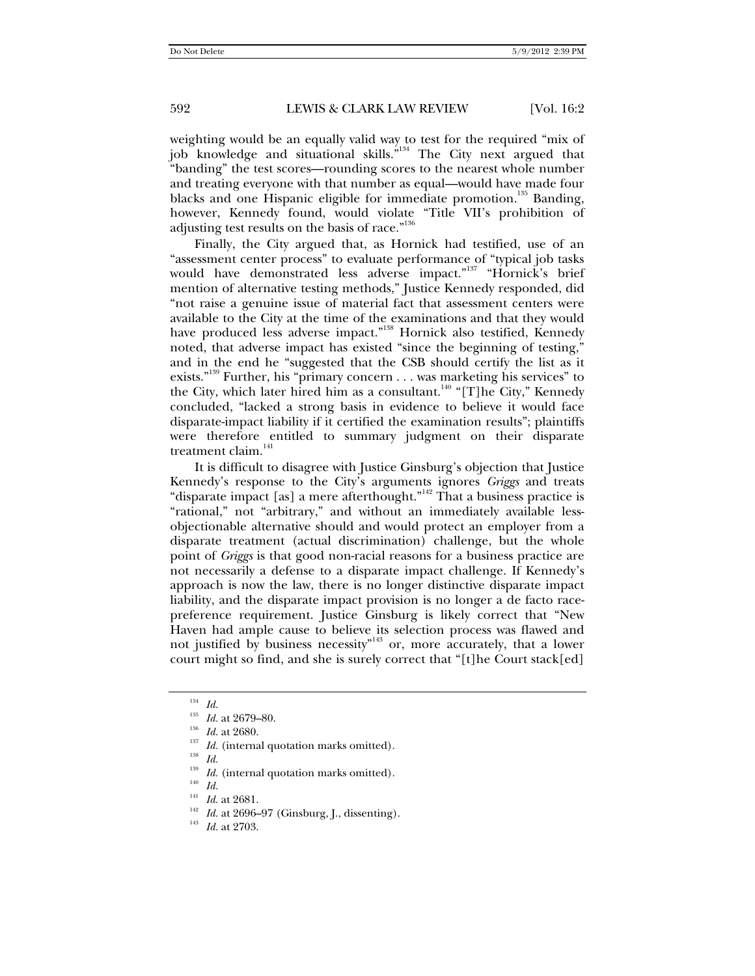weighting would be an equally valid way to test for the required "mix of job knowledge and situational skills."<sup>134</sup> The City next argued that "banding" the test scores—rounding scores to the nearest whole number and treating everyone with that number as equal—would have made four blacks and one Hispanic eligible for immediate promotion.<sup>135</sup> Banding, however, Kennedy found, would violate "Title VII's prohibition of adjusting test results on the basis of race."<sup>136</sup>

Finally, the City argued that, as Hornick had testified, use of an "assessment center process" to evaluate performance of "typical job tasks would have demonstrated less adverse impact."<sup>137</sup> "Hornick's brief mention of alternative testing methods," Justice Kennedy responded, did "not raise a genuine issue of material fact that assessment centers were available to the City at the time of the examinations and that they would have produced less adverse impact."<sup>138</sup> Hornick also testified, Kennedy noted, that adverse impact has existed "since the beginning of testing," and in the end he "suggested that the CSB should certify the list as it exists."<sup>139</sup> Further, his "primary concern . . . was marketing his services" to the City, which later hired him as a consultant.<sup>140</sup> "[T]he City," Kennedy concluded, "lacked a strong basis in evidence to believe it would face disparate-impact liability if it certified the examination results"; plaintiffs were therefore entitled to summary judgment on their disparate treatment claim.<sup>141</sup>

It is difficult to disagree with Justice Ginsburg's objection that Justice Kennedy's response to the City's arguments ignores *Griggs* and treats "disparate impact [as] a mere afterthought."<sup>142</sup> That a business practice is "rational," not "arbitrary," and without an immediately available lessobjectionable alternative should and would protect an employer from a disparate treatment (actual discrimination) challenge, but the whole point of *Griggs* is that good non-racial reasons for a business practice are not necessarily a defense to a disparate impact challenge. If Kennedy's approach is now the law, there is no longer distinctive disparate impact liability, and the disparate impact provision is no longer a de facto racepreference requirement. Justice Ginsburg is likely correct that "New Haven had ample cause to believe its selection process was flawed and not justified by business necessity"<sup>143</sup> or, more accurately, that a lower court might so find, and she is surely correct that "[t]he Court stack[ed]

- <sup>139</sup> *Id.* (internal quotation marks omitted).<br><sup>140</sup> *Id. Id.* at 2681.
- 
- 
- <sup>142</sup> *Id.* at 2696–97 (Ginsburg, J., dissenting).<br><sup>143</sup> *Id.* at 2703.
- 

<sup>&</sup>lt;sup>134</sup> *Id.* <br><sup>135</sup> *Id.* at 2679–80.

<sup>&</sup>lt;sup>136</sup> *Id.* at 2680. <sup>137</sup> *Id.* (internal quotation marks omitted). <sup>138</sup> *Id*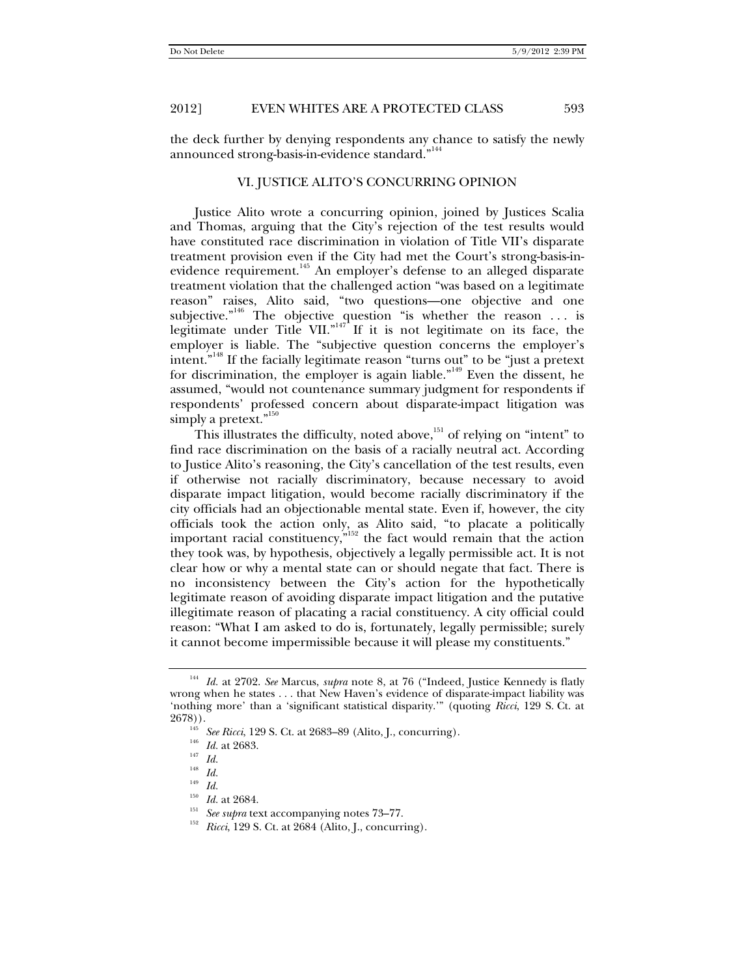the deck further by denying respondents any chance to satisfy the newly announced strong-basis-in-evidence standard."<sup>144</sup>

#### VI. JUSTICE ALITO'S CONCURRING OPINION

Justice Alito wrote a concurring opinion, joined by Justices Scalia and Thomas, arguing that the City's rejection of the test results would have constituted race discrimination in violation of Title VII's disparate treatment provision even if the City had met the Court's strong-basis-inevidence requirement.<sup>145</sup> An employer's defense to an alleged disparate treatment violation that the challenged action "was based on a legitimate reason" raises, Alito said, "two questions—one objective and one subjective."<sup>146</sup> The objective question "is whether the reason ... is legitimate under Title VII." $147$  If it is not legitimate on its face, the employer is liable. The "subjective question concerns the employer's intent."148 If the facially legitimate reason "turns out" to be "just a pretext for discrimination, the employer is again liable."<sup>149</sup> Even the dissent, he assumed, "would not countenance summary judgment for respondents if respondents' professed concern about disparate-impact litigation was simply a pretext."<sup>150</sup>

This illustrates the difficulty, noted above, $151$  of relying on "intent" to find race discrimination on the basis of a racially neutral act. According to Justice Alito's reasoning, the City's cancellation of the test results, even if otherwise not racially discriminatory, because necessary to avoid disparate impact litigation, would become racially discriminatory if the city officials had an objectionable mental state. Even if, however, the city officials took the action only, as Alito said, "to placate a politically important racial constituency, $n^{152}$  the fact would remain that the action they took was, by hypothesis, objectively a legally permissible act. It is not clear how or why a mental state can or should negate that fact. There is no inconsistency between the City's action for the hypothetically legitimate reason of avoiding disparate impact litigation and the putative illegitimate reason of placating a racial constituency. A city official could reason: "What I am asked to do is, fortunately, legally permissible; surely it cannot become impermissible because it will please my constituents."

<sup>144</sup> *Id.* at 2702. *See* Marcus, *supra* note 8, at 76 ("Indeed, Justice Kennedy is flatly wrong when he states . . . that New Haven's evidence of disparate-impact liability was 'nothing more' than a 'significant statistical disparity.'" (quoting *Ricci*, 129 S. Ct. at

<sup>&</sup>lt;sup>145</sup> *See Ricci*, 129 S. Ct. at 2683–89 (Alito, J., concurring).<br><sup>145</sup> *Id.* at 2683.

<sup>148</sup> *Id.*

 $\frac{149}{150}$  *Id.* at 2684.

<sup>&</sup>lt;sup>151</sup> *See supra* text accompanying notes 73–77.<br><sup>152</sup> *Ricci*, 129 S. Ct. at 2684 (Alito, J., concurring).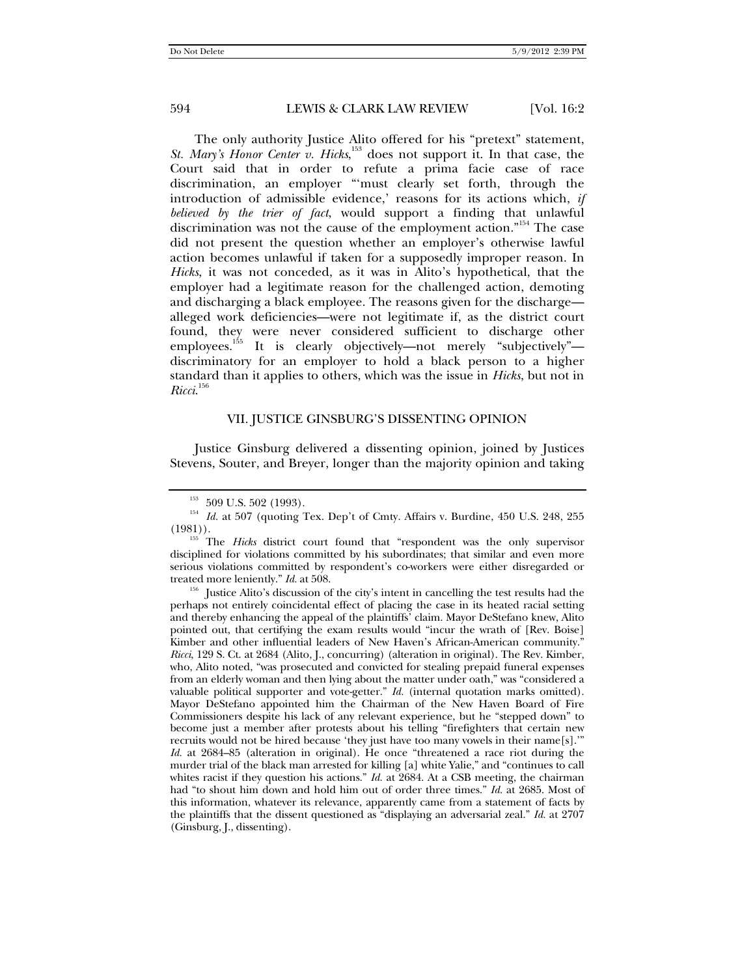The only authority Justice Alito offered for his "pretext" statement, St. Mary's Honor Center v. Hicks,<sup>153</sup> does not support it. In that case, the Court said that in order to refute a prima facie case of race discrimination, an employer "'must clearly set forth, through the introduction of admissible evidence,' reasons for its actions which, *if believed by the trier of fact*, would support a finding that unlawful discrimination was not the cause of the employment action."154 The case did not present the question whether an employer's otherwise lawful action becomes unlawful if taken for a supposedly improper reason. In *Hicks*, it was not conceded, as it was in Alito's hypothetical, that the employer had a legitimate reason for the challenged action, demoting and discharging a black employee. The reasons given for the discharge alleged work deficiencies—were not legitimate if, as the district court found, they were never considered sufficient to discharge other employees.155 It is clearly objectively—not merely "subjectively" discriminatory for an employer to hold a black person to a higher standard than it applies to others, which was the issue in *Hicks*, but not in *Ricci*. 156

#### VII. JUSTICE GINSBURG'S DISSENTING OPINION

Justice Ginsburg delivered a dissenting opinion, joined by Justices Stevens, Souter, and Breyer, longer than the majority opinion and taking

perhaps not entirely coincidental effect of placing the case in its heated racial setting and thereby enhancing the appeal of the plaintiffs' claim. Mayor DeStefano knew, Alito pointed out, that certifying the exam results would "incur the wrath of [Rev. Boise] Kimber and other influential leaders of New Haven's African-American community." *Ricci*, 129 S. Ct. at 2684 (Alito, J., concurring) (alteration in original). The Rev. Kimber, who, Alito noted, "was prosecuted and convicted for stealing prepaid funeral expenses from an elderly woman and then lying about the matter under oath," was "considered a valuable political supporter and vote-getter." *Id.* (internal quotation marks omitted). Mayor DeStefano appointed him the Chairman of the New Haven Board of Fire Commissioners despite his lack of any relevant experience, but he "stepped down" to become just a member after protests about his telling "firefighters that certain new recruits would not be hired because 'they just have too many vowels in their name[s].'" *Id.* at 2684–85 (alteration in original). He once "threatened a race riot during the murder trial of the black man arrested for killing [a] white Yalie," and "continues to call whites racist if they question his actions." *Id.* at 2684. At a CSB meeting, the chairman had "to shout him down and hold him out of order three times." *Id.* at 2685. Most of this information, whatever its relevance, apparently came from a statement of facts by the plaintiffs that the dissent questioned as "displaying an adversarial zeal." *Id.* at 2707 (Ginsburg, J., dissenting).

<sup>&</sup>lt;sup>153</sup> 509 U.S. 502 (1993).<br><sup>154</sup> *Id.* at 507 (quoting Tex. Dep't of Cmty. Affairs v. Burdine, 450 U.S. 248, 255 (1981)).

<sup>&</sup>lt;sup>155</sup> The *Hicks* district court found that "respondent was the only supervisor disciplined for violations committed by his subordinates; that similar and even more serious violations committed by respondent's co-workers were either disregarded or treated more leniently." *Id.* at 508.<br><sup>156</sup> Justice Alito's discussion of the city's intent in cancelling the test results had the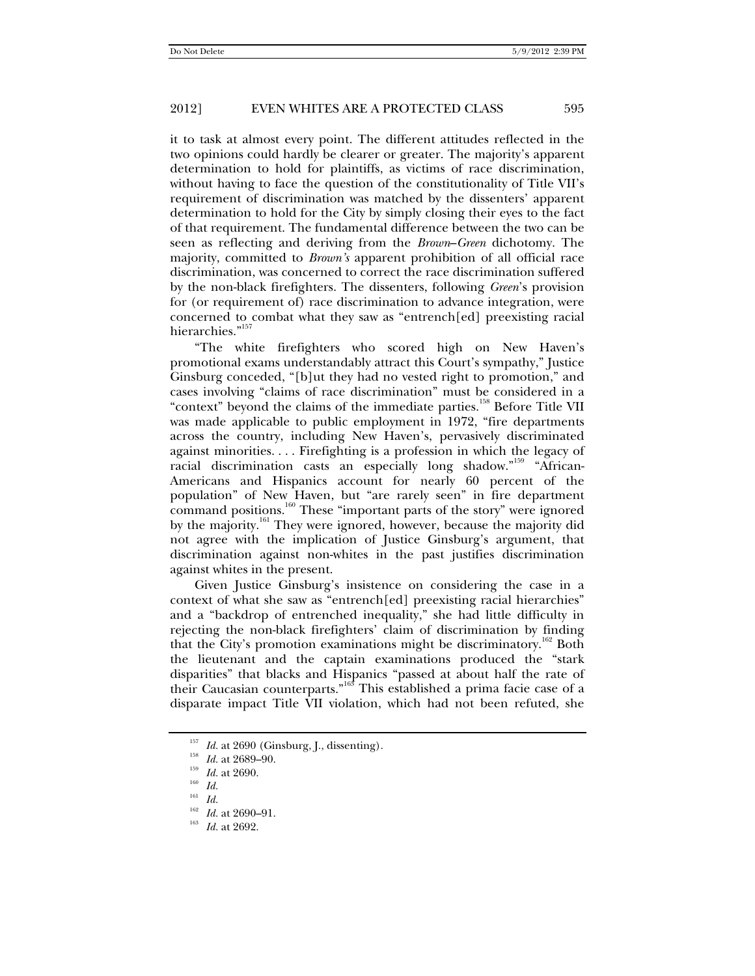it to task at almost every point. The different attitudes reflected in the two opinions could hardly be clearer or greater. The majority's apparent determination to hold for plaintiffs, as victims of race discrimination, without having to face the question of the constitutionality of Title VII's requirement of discrimination was matched by the dissenters' apparent determination to hold for the City by simply closing their eyes to the fact of that requirement. The fundamental difference between the two can be seen as reflecting and deriving from the *Brown*–*Green* dichotomy. The majority, committed to *Brown's* apparent prohibition of all official race discrimination, was concerned to correct the race discrimination suffered by the non-black firefighters. The dissenters, following *Green*'s provision for (or requirement of) race discrimination to advance integration, were concerned to combat what they saw as "entrench[ed] preexisting racial hierarchies."<sup>157</sup>

"The white firefighters who scored high on New Haven's promotional exams understandably attract this Court's sympathy," Justice Ginsburg conceded, "[b]ut they had no vested right to promotion," and cases involving "claims of race discrimination" must be considered in a "context" beyond the claims of the immediate parties.<sup>158</sup> Before Title VII was made applicable to public employment in 1972, "fire departments across the country, including New Haven's, pervasively discriminated against minorities. . . . Firefighting is a profession in which the legacy of racial discrimination casts an especially long shadow."159 "African-Americans and Hispanics account for nearly 60 percent of the population" of New Haven, but "are rarely seen" in fire department  $\frac{1}{2}$  command positions.<sup>160</sup> These "important parts of the story" were ignored by the majority.<sup>161</sup> They were ignored, however, because the majority did not agree with the implication of Justice Ginsburg's argument, that discrimination against non-whites in the past justifies discrimination against whites in the present.

Given Justice Ginsburg's insistence on considering the case in a context of what she saw as "entrench[ed] preexisting racial hierarchies" and a "backdrop of entrenched inequality," she had little difficulty in rejecting the non-black firefighters' claim of discrimination by finding that the City's promotion examinations might be discriminatory.<sup>162</sup> Both the lieutenant and the captain examinations produced the "stark disparities" that blacks and Hispanics "passed at about half the rate of their Caucasian counterparts."<sup>163</sup> This established a prima facie case of a disparate impact Title VII violation, which had not been refuted, she

<sup>157</sup> *Id.* at 2690 (Ginsburg, J., dissenting). 158 *Id.* at 2689–90. 159 *Id.* at 2690. 160 *Id.*

<sup>161</sup> *Id.*

<sup>&</sup>lt;sup>162</sup> *Id.* at 2690–91.<br><sup>163</sup> *Id.* at 2692.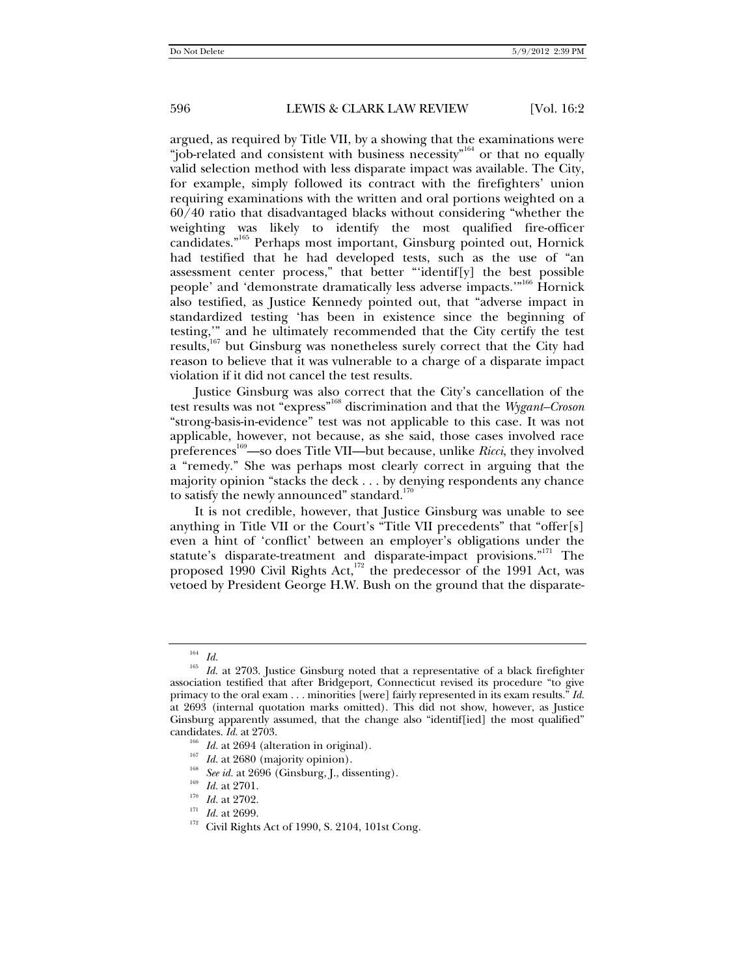argued, as required by Title VII, by a showing that the examinations were "job-related and consistent with business necessity"<sup>164</sup> or that no equally valid selection method with less disparate impact was available. The City, for example, simply followed its contract with the firefighters' union requiring examinations with the written and oral portions weighted on a 60/40 ratio that disadvantaged blacks without considering "whether the weighting was likely to identify the most qualified fire-officer candidates."165 Perhaps most important, Ginsburg pointed out, Hornick had testified that he had developed tests, such as the use of "an assessment center process," that better "'identif[y] the best possible people' and 'demonstrate dramatically less adverse impacts.'"<sup>166</sup> Hornick also testified, as Justice Kennedy pointed out, that "adverse impact in standardized testing 'has been in existence since the beginning of testing,'" and he ultimately recommended that the City certify the test results,<sup>167</sup> but Ginsburg was nonetheless surely correct that the City had reason to believe that it was vulnerable to a charge of a disparate impact violation if it did not cancel the test results.

Justice Ginsburg was also correct that the City's cancellation of the test results was not "express"168 discrimination and that the *Wygant–Croson* "strong-basis-in-evidence" test was not applicable to this case. It was not applicable, however, not because, as she said, those cases involved race preferences<sup>169</sup>—so does Title VII—but because, unlike *Ricci*, they involved a "remedy." She was perhaps most clearly correct in arguing that the majority opinion "stacks the deck . . . by denying respondents any chance to satisfy the newly announced" standard.<sup>170</sup>

It is not credible, however, that Justice Ginsburg was unable to see anything in Title VII or the Court's "Title VII precedents" that "offer[s] even a hint of 'conflict' between an employer's obligations under the statute's disparate-treatment and disparate-impact provisions."<sup>171</sup> The proposed 1990 Civil Rights Act,<sup>172</sup> the predecessor of the 1991 Act, was vetoed by President George H.W. Bush on the ground that the disparate-

- 
- 
- 
- 
- <sup>166</sup> *Id.* at 2694 (alteration in original).<br><sup>167</sup> *Id.* at 2680 (majority opinion).<br><sup>168</sup> *See id.* at 2696 (Ginsburg, J., dissenting).<br><sup>169</sup> *Id.* at 2701.<br><sup>170</sup> *Id.* at 2702.<br><sup>171</sup> *Id.* at 2699.<br><sup>171</sup> Civil Rights A

<sup>164</sup> *Id.*

<sup>&</sup>lt;sup>165</sup> *Id.* at 2703. Justice Ginsburg noted that a representative of a black firefighter association testified that after Bridgeport, Connecticut revised its procedure "to give primacy to the oral exam . . . minorities [were] fairly represented in its exam results." *Id.* at 2693 (internal quotation marks omitted). This did not show, however, as Justice Ginsburg apparently assumed, that the change also "identif[ied] the most qualified" candidates. *Id.* at 2703.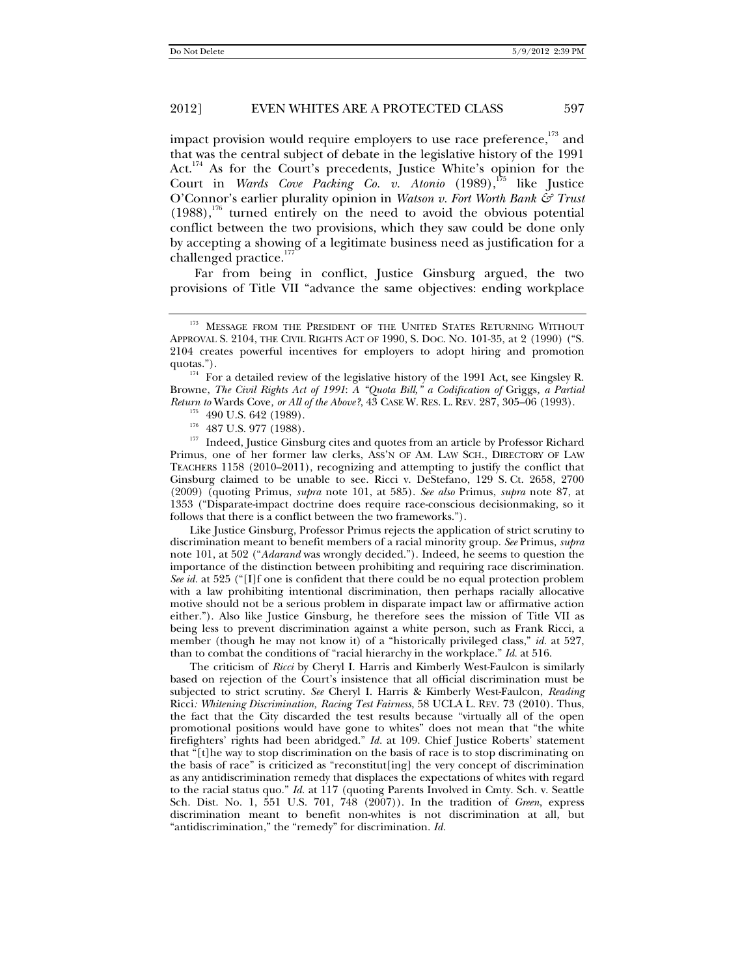impact provision would require employers to use race preference, $173$  and that was the central subject of debate in the legislative history of the 1991 Act.<sup>174</sup> As for the Court's precedents, Justice White's opinion for the Court in *Wards Cove Packing Co. v. Atonio* (1989),<sup>175</sup> like Justice O'Connor's earlier plurality opinion in *Watson v. Fort Worth Bank & Trust*  $(1988)$ ,<sup>176</sup> turned entirely on the need to avoid the obvious potential conflict between the two provisions, which they saw could be done only by accepting a showing of a legitimate business need as justification for a challenged practice.<sup>177</sup>

Far from being in conflict, Justice Ginsburg argued, the two provisions of Title VII "advance the same objectives: ending workplace

Primus, one of her former law clerks, ASS'N OF AM. LAW SCH., DIRECTORY OF LAW TEACHERS 1158 (2010–2011), recognizing and attempting to justify the conflict that Ginsburg claimed to be unable to see. Ricci v. DeStefano, 129 S. Ct. 2658, 2700 (2009) (quoting Primus, *supra* note 101, at 585). *See also* Primus, *supra* note 87, at 1353 ("Disparate-impact doctrine does require race-conscious decisionmaking, so it follows that there is a conflict between the two frameworks.").

 Like Justice Ginsburg, Professor Primus rejects the application of strict scrutiny to discrimination meant to benefit members of a racial minority group. *See* Primus, *supra*  note 101, at 502 ("*Adarand* was wrongly decided."). Indeed, he seems to question the importance of the distinction between prohibiting and requiring race discrimination. *See id.* at 525 ("[I]f one is confident that there could be no equal protection problem with a law prohibiting intentional discrimination, then perhaps racially allocative motive should not be a serious problem in disparate impact law or affirmative action either."). Also like Justice Ginsburg, he therefore sees the mission of Title VII as being less to prevent discrimination against a white person, such as Frank Ricci, a member (though he may not know it) of a "historically privileged class," *id.* at 527, than to combat the conditions of "racial hierarchy in the workplace." *Id.* at 516.

 The criticism of *Ricci* by Cheryl I. Harris and Kimberly West-Faulcon is similarly based on rejection of the Court's insistence that all official discrimination must be subjected to strict scrutiny. *See* Cheryl I. Harris & Kimberly West-Faulcon, *Reading*  Ricci*: Whitening Discrimination, Racing Test Fairness*, 58 UCLA L. REV. 73 (2010). Thus, the fact that the City discarded the test results because "virtually all of the open promotional positions would have gone to whites" does not mean that "the white firefighters' rights had been abridged." *Id.* at 109. Chief Justice Roberts' statement that "[t]he way to stop discrimination on the basis of race is to stop discriminating on the basis of race" is criticized as "reconstitut[ing] the very concept of discrimination as any antidiscrimination remedy that displaces the expectations of whites with regard to the racial status quo." *Id.* at 117 (quoting Parents Involved in Cmty. Sch. v. Seattle Sch. Dist. No. 1, 551 U.S. 701, 748 (2007)). In the tradition of *Green*, express discrimination meant to benefit non-whites is not discrimination at all, but "antidiscrimination," the "remedy" for discrimination. *Id.*

<sup>&</sup>lt;sup>173</sup> MESSAGE FROM THE PRESIDENT OF THE UNITED STATES RETURNING WITHOUT APPROVAL S. 2104, THE CIVIL RIGHTS ACT OF 1990, S. DOC. NO. 101-35, at 2 (1990) ("S. 2104 creates powerful incentives for employers to adopt hiring and promotion

 $174$  For a detailed review of the legislative history of the 1991 Act, see Kingsley R. Browne, *The Civil Rights Act of 1991*: *A "Quota Bill," a Codification of* Griggs*, a Partial*  Return to Wards Cove, or All of the Above?, 43 CASE W. RES. L. REV. 287, 305–06 (1993).<br><sup>175</sup> 490 U.S. 642 (1989).<br><sup>176</sup> 487 U.S. 977 (1988).<br><sup>177</sup> Indeed, Justice Ginsburg cites and quotes from an article by Professor Ri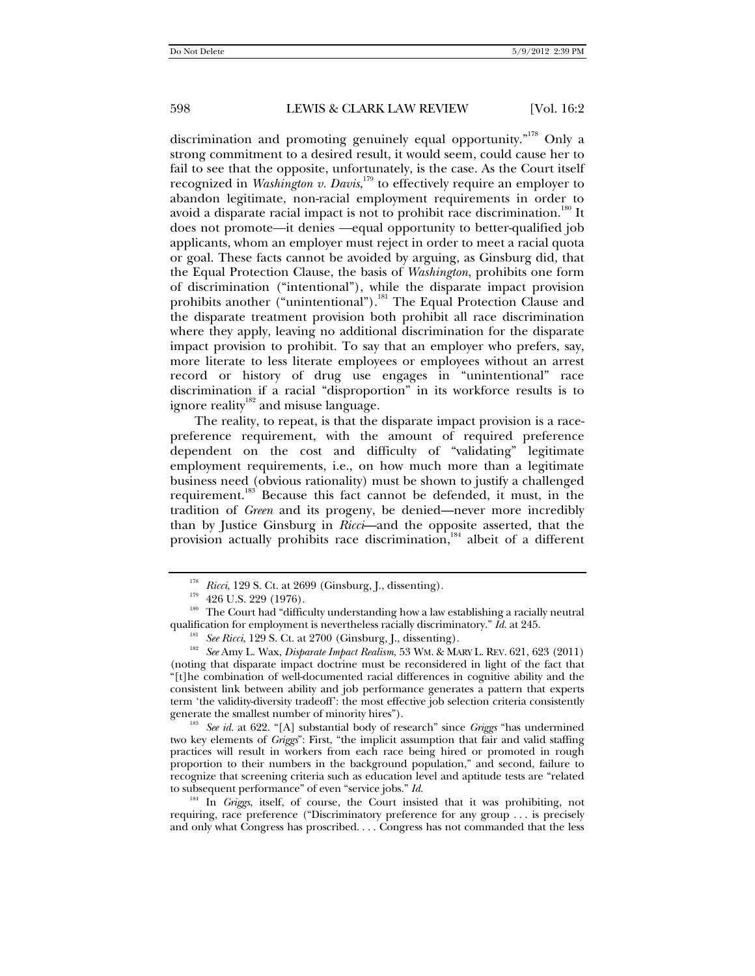discrimination and promoting genuinely equal opportunity."<sup>178</sup> Only a strong commitment to a desired result, it would seem, could cause her to fail to see that the opposite, unfortunately, is the case. As the Court itself recognized in *Washington v. Davis*, 179 to effectively require an employer to abandon legitimate, non-racial employment requirements in order to avoid a disparate racial impact is not to prohibit race discrimination.<sup>180</sup> It does not promote—it denies —equal opportunity to better-qualified job applicants, whom an employer must reject in order to meet a racial quota or goal. These facts cannot be avoided by arguing, as Ginsburg did, that the Equal Protection Clause, the basis of *Washington*, prohibits one form of discrimination ("intentional"), while the disparate impact provision prohibits another ("unintentional").<sup>181</sup> The Equal Protection Clause and the disparate treatment provision both prohibit all race discrimination where they apply, leaving no additional discrimination for the disparate impact provision to prohibit. To say that an employer who prefers, say, more literate to less literate employees or employees without an arrest record or history of drug use engages in "unintentional" race discrimination if a racial "disproportion" in its workforce results is to ignore reality<sup>182</sup> and misuse language.

The reality, to repeat, is that the disparate impact provision is a racepreference requirement, with the amount of required preference dependent on the cost and difficulty of "validating" legitimate employment requirements, i.e., on how much more than a legitimate business need (obvious rationality) must be shown to justify a challenged requirement.183 Because this fact cannot be defended, it must, in the tradition of *Green* and its progeny, be denied—never more incredibly than by Justice Ginsburg in *Ricci*—and the opposite asserted, that the provision actually prohibits race discrimination,<sup>184</sup> albeit of a different

generate the smallest number of minority hires").<br><sup>183</sup> *See id.* at 622. "[A] substantial body of research" since *Griggs* "has undermined two key elements of *Griggs*": First, "the implicit assumption that fair and valid staffing practices will result in workers from each race being hired or promoted in rough proportion to their numbers in the background population," and second, failure to recognize that screening criteria such as education level and aptitude tests are "related to subsequent performance" of even "service jobs." *Id.* 

<sup>184</sup> In *Griggs*, itself, of course, the Court insisted that it was prohibiting, not requiring, race preference ("Discriminatory preference for any group . . . is precisely and only what Congress has proscribed. . . . Congress has not commanded that the less

<sup>&</sup>lt;sup>178</sup> *Ricci*, 129 S. Ct. at 2699 (Ginsburg, J., dissenting).<br><sup>179</sup> 426 U.S. 229 (1976).<br><sup>180</sup> The Court had "difficulty understanding how a law establishing a racially neutral qualification for employment is nevertheless

<sup>&</sup>lt;sup>181</sup> See Ricci, 129 S. Ct. at 2700 (Ginsburg, J., dissenting).<br><sup>182</sup> See Amy L. Wax, *Disparate Impact Realism*, 53 WM. & MARY L. REV. 621, 623 (2011) (noting that disparate impact doctrine must be reconsidered in light of the fact that "[t]he combination of well-documented racial differences in cognitive ability and the consistent link between ability and job performance generates a pattern that experts term 'the validity-diversity tradeoff': the most effective job selection criteria consistently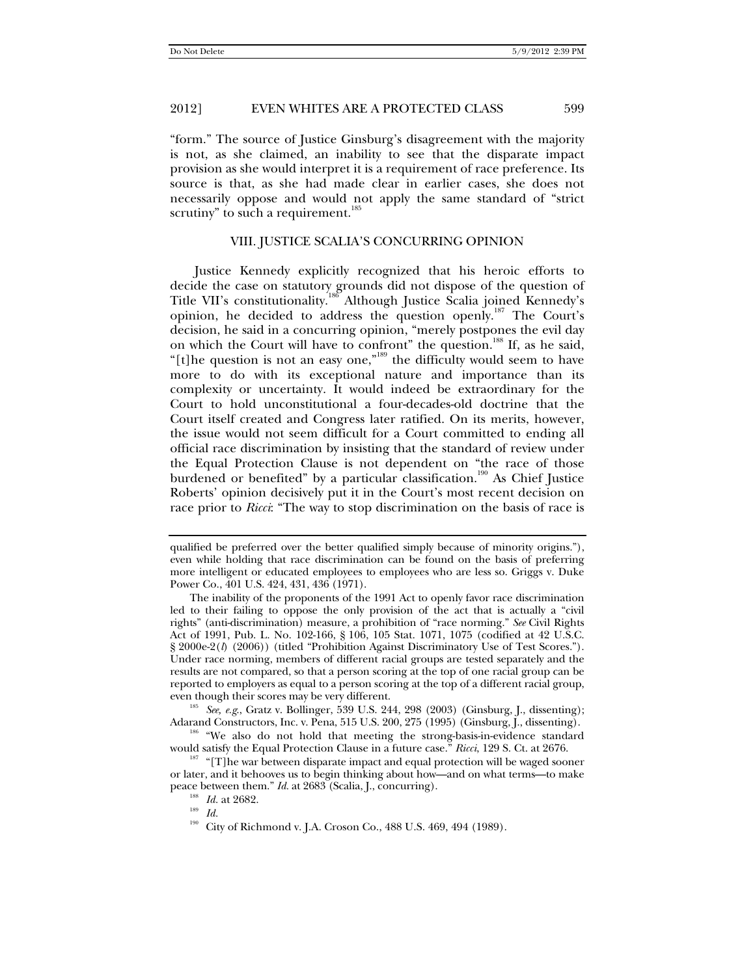"form." The source of Justice Ginsburg's disagreement with the majority is not, as she claimed, an inability to see that the disparate impact provision as she would interpret it is a requirement of race preference. Its source is that, as she had made clear in earlier cases, she does not necessarily oppose and would not apply the same standard of "strict scrutiny" to such a requirement. $185$ 

# VIII. JUSTICE SCALIA'S CONCURRING OPINION

Justice Kennedy explicitly recognized that his heroic efforts to decide the case on statutory grounds did not dispose of the question of Title VII's constitutionality.<sup>186</sup> Although Justice Scalia joined Kennedy's opinion, he decided to address the question openly.187 The Court's decision, he said in a concurring opinion, "merely postpones the evil day on which the Court will have to confront" the question.<sup>188</sup> If, as he said, "[t]he question is not an easy one,"<sup>189</sup> the difficulty would seem to have more to do with its exceptional nature and importance than its complexity or uncertainty. It would indeed be extraordinary for the Court to hold unconstitutional a four-decades-old doctrine that the Court itself created and Congress later ratified. On its merits, however, the issue would not seem difficult for a Court committed to ending all official race discrimination by insisting that the standard of review under the Equal Protection Clause is not dependent on "the race of those burdened or benefited" by a particular classification.<sup>190</sup> As Chief Justice Roberts' opinion decisively put it in the Court's most recent decision on race prior to *Ricci*: "The way to stop discrimination on the basis of race is

<sup>185</sup> *See, e.g.*, Gratz v. Bollinger, 539 U.S. 244, 298 (2003) (Ginsburg, J., dissenting); Adarand Constructors, Inc. v. Pena, 515 U.S. 200, 275 (1995) (Ginsburg, J., dissenting).

qualified be preferred over the better qualified simply because of minority origins."), even while holding that race discrimination can be found on the basis of preferring more intelligent or educated employees to employees who are less so. Griggs v. Duke Power Co., 401 U.S. 424, 431, 436 (1971).

The inability of the proponents of the 1991 Act to openly favor race discrimination led to their failing to oppose the only provision of the act that is actually a "civil rights" (anti-discrimination) measure, a prohibition of "race norming." *See* Civil Rights Act of 1991, Pub. L. No. 102-166, § 106, 105 Stat. 1071, 1075 (codified at 42 U.S.C. § 2000e-2(*l*) (2006)) (titled "Prohibition Against Discriminatory Use of Test Scores."). Under race norming, members of different racial groups are tested separately and the results are not compared, so that a person scoring at the top of one racial group can be reported to employers as equal to a person scoring at the top of a different racial group,

<sup>&</sup>lt;sup>186</sup> "We also do not hold that meeting the strong-basis-in-evidence standard would satisfy the Equal Protection Clause in a future case." *Ricci*, 129 S. Ct. at 2676.<br><sup>187</sup> "[T]he war between disparate impact and equal protection will be waged sooner

or later, and it behooves us to begin thinking about how—and on what terms—to make peace between them." *Id.* at 2683 (Scalia, J., concurring).<br><sup>188</sup> *Id.* at 2682.<br>*Id* 

<sup>190</sup> City of Richmond v. J.A. Croson Co., 488 U.S. 469, 494 (1989).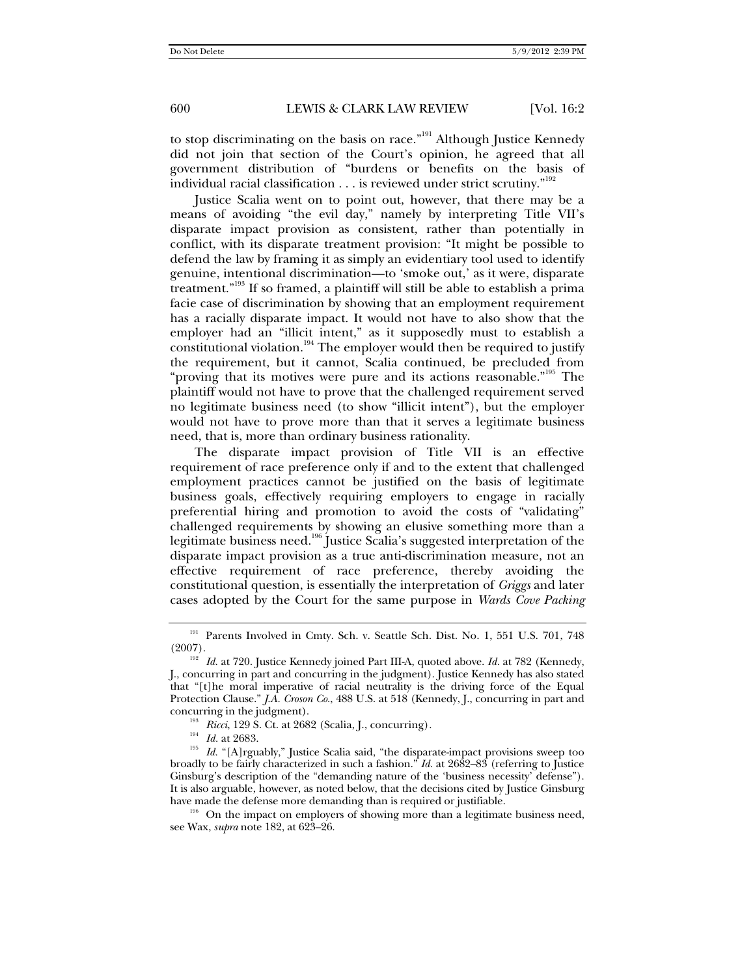to stop discriminating on the basis on race."<sup>191</sup> Although Justice Kennedy did not join that section of the Court's opinion, he agreed that all government distribution of "burdens or benefits on the basis of individual racial classification  $\dots$  is reviewed under strict scrutiny."<sup>192</sup>

Justice Scalia went on to point out, however, that there may be a means of avoiding "the evil day," namely by interpreting Title VII's disparate impact provision as consistent, rather than potentially in conflict, with its disparate treatment provision: "It might be possible to defend the law by framing it as simply an evidentiary tool used to identify genuine, intentional discrimination—to 'smoke out,' as it were, disparate treatment."193 If so framed, a plaintiff will still be able to establish a prima facie case of discrimination by showing that an employment requirement has a racially disparate impact. It would not have to also show that the employer had an "illicit intent," as it supposedly must to establish a constitutional violation.<sup>194</sup> The employer would then be required to justify the requirement, but it cannot, Scalia continued, be precluded from "proving that its motives were pure and its actions reasonable."<sup>195</sup> The plaintiff would not have to prove that the challenged requirement served no legitimate business need (to show "illicit intent"), but the employer would not have to prove more than that it serves a legitimate business need, that is, more than ordinary business rationality.

The disparate impact provision of Title VII is an effective requirement of race preference only if and to the extent that challenged employment practices cannot be justified on the basis of legitimate business goals, effectively requiring employers to engage in racially preferential hiring and promotion to avoid the costs of "validating" challenged requirements by showing an elusive something more than a legitimate business need.196 Justice Scalia's suggested interpretation of the disparate impact provision as a true anti-discrimination measure, not an effective requirement of race preference, thereby avoiding the constitutional question, is essentially the interpretation of *Griggs* and later cases adopted by the Court for the same purpose in *Wards Cove Packing* 

<sup>&</sup>lt;sup>191</sup> Parents Involved in Cmty. Sch. v. Seattle Sch. Dist. No. 1, 551 U.S. 701, 748 (2007).

<sup>&</sup>lt;sup>192</sup> *Id.* at 720. Justice Kennedy joined Part III-A, quoted above. *Id.* at 782 (Kennedy, J., concurring in part and concurring in the judgment). Justice Kennedy has also stated that "[t]he moral imperative of racial neutrality is the driving force of the Equal Protection Clause." *J.A. Croson Co.*, 488 U.S. at 518 (Kennedy, J., concurring in part and concurring in the judgment). 193 *Ricci*, 129 S. Ct. at 2682 (Scalia, J., concurring)*.*

<sup>&</sup>lt;sup>195</sup> *Id.* "[A]rguably," Justice Scalia said, "the disparate-impact provisions sweep too broadly to be fairly characterized in such a fashion." *Id.* at 2682–83 (referring to Justice Ginsburg's description of the "demanding nature of the 'business necessity' defense"). It is also arguable, however, as noted below, that the decisions cited by Justice Ginsburg

have made the defense more demanding than is required or justifiable.<br><sup>196</sup> On the impact on employers of showing more than a legitimate business need, see Wax, *supra* note 182, at 623–26.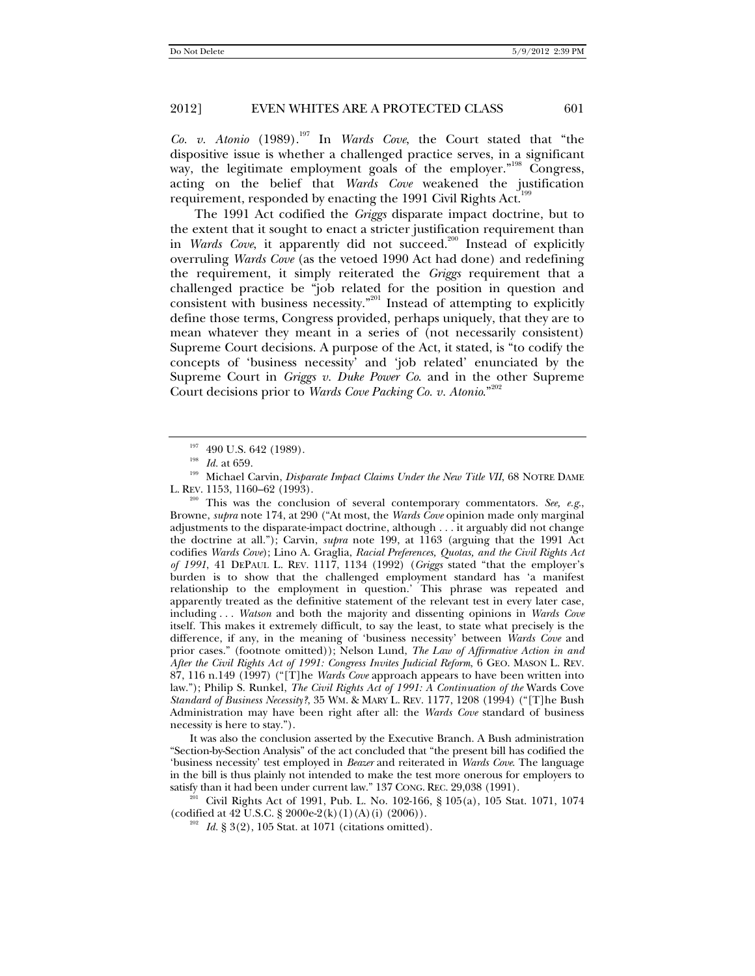*Co. v. Atonio* (1989).197 In *Wards Cove*, the Court stated that "the dispositive issue is whether a challenged practice serves, in a significant way, the legitimate employment goals of the employer."<sup>198</sup> Congress, acting on the belief that *Wards Cove* weakened the justification requirement, responded by enacting the 1991 Civil Rights Act.<sup>199</sup>

The 1991 Act codified the *Griggs* disparate impact doctrine, but to the extent that it sought to enact a stricter justification requirement than in *Wards Cove*, it apparently did not succeed.<sup>200</sup> Instead of explicitly overruling *Wards Cove* (as the vetoed 1990 Act had done) and redefining the requirement, it simply reiterated the *Griggs* requirement that a challenged practice be "job related for the position in question and consistent with business necessity."<sup>201</sup> Instead of attempting to explicitly define those terms, Congress provided, perhaps uniquely, that they are to mean whatever they meant in a series of (not necessarily consistent) Supreme Court decisions. A purpose of the Act, it stated, is "to codify the concepts of 'business necessity' and 'job related' enunciated by the Supreme Court in *Griggs v. Duke Power Co*. and in the other Supreme Court decisions prior to *Wards Cove Packing Co. v. Atonio.*"<sup>202</sup>

This was the conclusion of several contemporary commentators. See, e.g., Browne, *supra* note 174, at 290 ("At most, the *Wards Cove* opinion made only marginal adjustments to the disparate-impact doctrine, although . . . it arguably did not change the doctrine at all."); Carvin, *supra* note 199, at 1163 (arguing that the 1991 Act codifies *Wards Cove*); Lino A. Graglia, *Racial Preferences, Quotas, and the Civil Rights Act of 1991*, 41 DEPAUL L. REV. 1117, 1134 (1992) (*Griggs* stated "that the employer's burden is to show that the challenged employment standard has 'a manifest relationship to the employment in question.' This phrase was repeated and apparently treated as the definitive statement of the relevant test in every later case, including . . . *Watson* and both the majority and dissenting opinions in *Wards Cove* itself. This makes it extremely difficult, to say the least, to state what precisely is the difference, if any, in the meaning of 'business necessity' between *Wards Cove* and prior cases." (footnote omitted)); Nelson Lund, *The Law of Affirmative Action in and After the Civil Rights Act of 1991: Congress Invites Judicial Reform*, 6 GEO. MASON L. REV. 87, 116 n.149 (1997) ("[T]he *Wards Cove* approach appears to have been written into law."); Philip S. Runkel, *The Civil Rights Act of 1991: A Continuation of the* Wards Cove *Standard of Business Necessity?*, 35 WM. & MARY L. REV. 1177, 1208 (1994) ("[T]he Bush Administration may have been right after all: the *Wards Cove* standard of business necessity is here to stay.").

 It was also the conclusion asserted by the Executive Branch. A Bush administration "Section-by-Section Analysis" of the act concluded that "the present bill has codified the 'business necessity' test employed in *Beazer* and reiterated in *Wards Cove*. The language in the bill is thus plainly not intended to make the test more onerous for employers to satisfy than it had been under current law." 137 CONG. REC. 29,038 (1991).

<sup>201</sup> Civil Rights Act of 1991, Pub. L. No. 102-166, § 105(a), 105 Stat. 1071, 1074 (codified at 42 U.S.C. § 2000e-2(k)(1)(A)(i) (2006)).

<sup>&</sup>lt;sup>197</sup> 490 U.S. 642 (1989).<br><sup>198</sup> *Id.* at 659.<br><sup>199</sup> Michael Carvin, *Disparate Impact Claims Under the New Title VII*, 68 NOTRE DAME<br>L. REV. 1153, 1160–62 (1993).

<sup>&</sup>lt;sup>202</sup> Id. § 3(2), 105 Stat. at 1071 (citations omitted).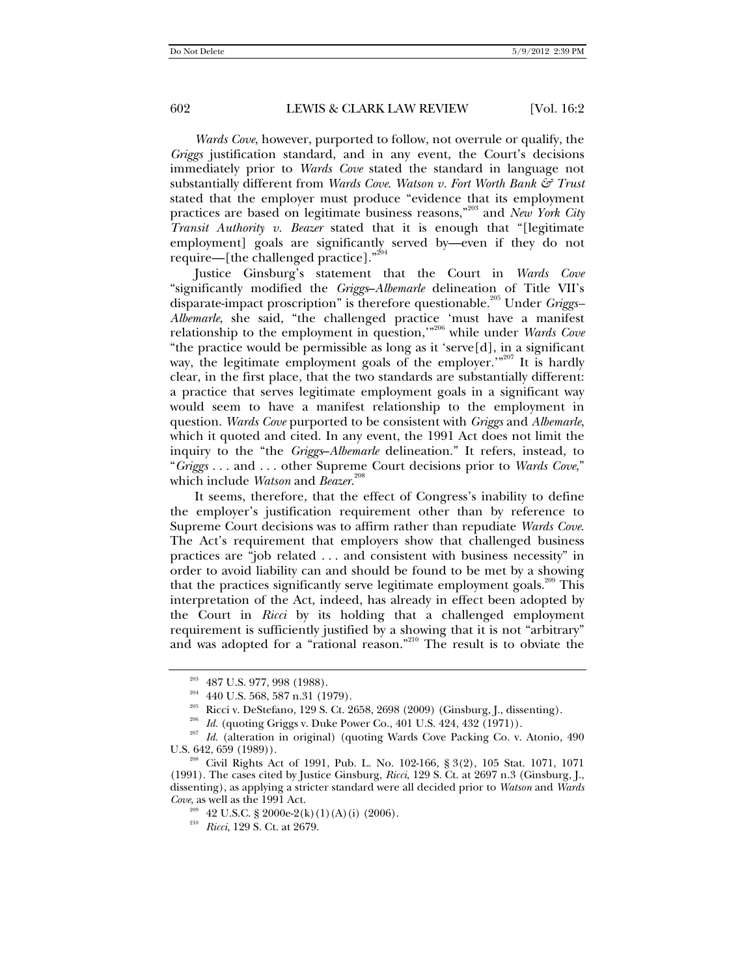*Wards Cove*, however, purported to follow, not overrule or qualify, the *Griggs* justification standard, and in any event, the Court's decisions immediately prior to *Wards Cove* stated the standard in language not substantially different from *Wards Cove*. *Watson v. Fort Worth Bank & Trust* stated that the employer must produce "evidence that its employment practices are based on legitimate business reasons,"203 and *New York City Transit Authority v. Beazer* stated that it is enough that "[legitimate employment] goals are significantly served by—even if they do not require—[the challenged practice]."<sup>204</sup>

Justice Ginsburg's statement that the Court in *Wards Cove* "significantly modified the *Griggs*–*Albemarle* delineation of Title VII's disparate-impact proscription" is therefore questionable.<sup>205</sup> Under *Griggs*-*Albemarle*, she said, "the challenged practice 'must have a manifest relationship to the employment in question,'"206 while under *Wards Cove* "the practice would be permissible as long as it 'serve[d], in a significant way, the legitimate employment goals of the employer."<sup>207</sup> It is hardly clear, in the first place, that the two standards are substantially different: a practice that serves legitimate employment goals in a significant way would seem to have a manifest relationship to the employment in question. *Wards Cove* purported to be consistent with *Griggs* and *Albemarle*, which it quoted and cited. In any event, the 1991 Act does not limit the inquiry to the "the *Griggs*–*Albemarle* delineation." It refers, instead, to "*Griggs* . . . and . . . other Supreme Court decisions prior to *Wards Cove*," which include *Watson* and *Beazer*. 208

It seems, therefore, that the effect of Congress's inability to define the employer's justification requirement other than by reference to Supreme Court decisions was to affirm rather than repudiate *Wards Cove*. The Act's requirement that employers show that challenged business practices are "job related . . . and consistent with business necessity" in order to avoid liability can and should be found to be met by a showing that the practices significantly serve legitimate employment goals.<sup>209</sup> This interpretation of the Act, indeed, has already in effect been adopted by the Court in *Ricci* by its holding that a challenged employment requirement is sufficiently justified by a showing that it is not "arbitrary" and was adopted for a "rational reason."<sup>210</sup> The result is to obviate the

<sup>&</sup>lt;sup>203</sup> 487 U.S. 977, 998 (1988).<br>
<sup>204</sup> 440 U.S. 568, 587 n.31 (1979).<br>
<sup>205</sup> Ricci v. DeStefano, 129 S. Ct. 2658, 2698 (2009) (Ginsburg, J., dissenting).<br>
<sup>205</sup> *Id.* (quoting Griggs v. Duke Power Co., 401 U.S. 424, 432 (

U.S. 642, 659 (1989)).<br><sup>208</sup> Civil Rights Act of 1991, Pub. L. No. 102-166, § 3(2), 105 Stat. 1071, 1071 (1991). The cases cited by Justice Ginsburg, *Ricci*, 129 S. Ct. at 2697 n.3 (Ginsburg, J., dissenting), as applying a stricter standard were all decided prior to *Watson* and *Wards Cove*, as well as the 1991 Act.

<sup>209</sup> 42 U.S.C. § 2000e-2(k)(1)(A)(i) (2006). 210 *Ricci*, 129 S. Ct. at 2679.